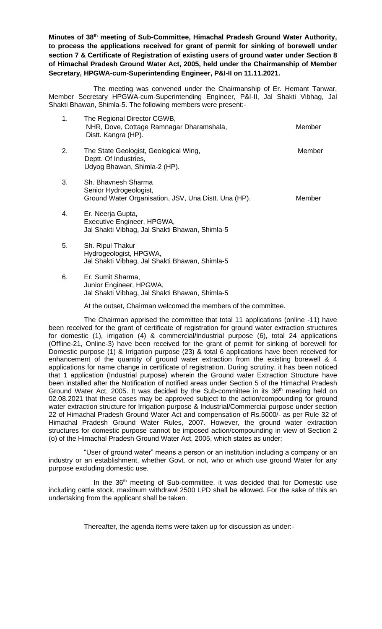**Minutes of 38 th meeting of Sub-Committee, Himachal Pradesh Ground Water Authority, to process the applications received for grant of permit for sinking of borewell under section 7 & Certificate of Registration of existing users of ground water under Section 8 of Himachal Pradesh Ground Water Act, 2005, held under the Chairmanship of Member Secretary, HPGWA-cum-Superintending Engineer, P&I-II on 11.11.2021.** 

The meeting was convened under the Chairmanship of Er. Hemant Tanwar, Member Secretary HPGWA-cum-Superintending Engineer, P&I-II, Jal Shakti Vibhag, Jal Shakti Bhawan, Shimla-5. The following members were present:-

| 1. | The Regional Director CGWB,<br>NHR, Dove, Cottage Ramnagar Dharamshala,<br>Distt. Kangra (HP).        | Member |
|----|-------------------------------------------------------------------------------------------------------|--------|
| 2. | The State Geologist, Geological Wing,<br>Deptt. Of Industries,<br>Udyog Bhawan, Shimla-2 (HP).        | Member |
| 3. | Sh. Bhavnesh Sharma<br>Senior Hydrogeologist,<br>Ground Water Organisation, JSV, Una Distt. Una (HP). | Member |
| 4. | Er. Neerja Gupta,<br>Executive Engineer, HPGWA,<br>Jal Shakti Vibhag, Jal Shakti Bhawan, Shimla-5     |        |
| 5. | Sh. Ripul Thakur<br>Hydrogeologist, HPGWA,<br>Jal Shakti Vibhag, Jal Shakti Bhawan, Shimla-5          |        |

6. Er. Sumit Sharma, Junior Engineer, HPGWA, Jal Shakti Vibhag, Jal Shakti Bhawan, Shimla-5

At the outset, Chairman welcomed the members of the committee.

The Chairman apprised the committee that total 11 applications (online -11) have been received for the grant of certificate of registration for ground water extraction structures for domestic (1), irrigation (4) & commercial/Industrial purpose (6), total 24 applications (Offline-21, Online-3) have been received for the grant of permit for sinking of borewell for Domestic purpose (1) & Irrigation purpose (23) & total 6 applications have been received for enhancement of the quantity of ground water extraction from the existing borewell & 4 applications for name change in certificate of registration. During scrutiny, it has been noticed that 1 application (Industrial purpose) wherein the Ground water Extraction Structure have been installed after the Notification of notified areas under Section 5 of the Himachal Pradesh Ground Water Act, 2005. It was decided by the Sub-committee in its 36<sup>th</sup> meeting held on 02.08.2021 that these cases may be approved subject to the action/compounding for ground water extraction structure for Irrigation purpose & Industrial/Commercial purpose under section 22 of Himachal Pradesh Ground Water Act and compensation of Rs.5000/- as per Rule 32 of Himachal Pradesh Ground Water Rules, 2007. However, the ground water extraction structures for domestic purpose cannot be imposed action/compounding in view of Section 2 (o) of the Himachal Pradesh Ground Water Act, 2005, which states as under:

"User of ground water" means a person or an institution including a company or an industry or an establishment, whether Govt. or not, who or which use ground Water for any purpose excluding domestic use.

In the 36<sup>th</sup> meeting of Sub-committee, it was decided that for Domestic use including cattle stock, maximum withdrawl 2500 LPD shall be allowed. For the sake of this an undertaking from the applicant shall be taken.

Thereafter, the agenda items were taken up for discussion as under:-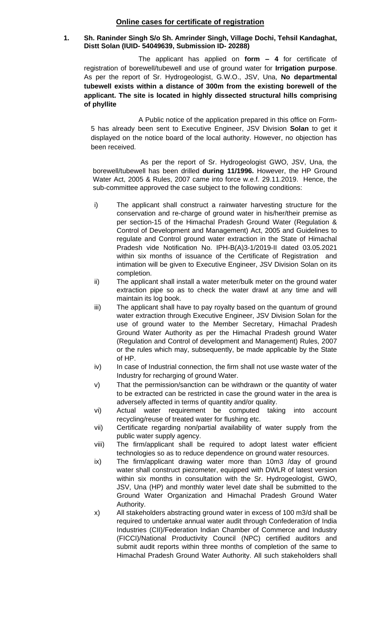# **Online cases for certificate of registration**

#### **1. Sh. Raninder Singh S/o Sh. Amrinder Singh, Village Dochi, Tehsil Kandaghat, Distt Solan (IUID- 54049639, Submission ID- 20288)**

The applicant has applied on **form – 4** for certificate of registration of borewell/tubewell and use of ground water for **Irrigation purpose**. As per the report of Sr. Hydrogeologist, G.W.O., JSV, Una, **No departmental tubewell exists within a distance of 300m from the existing borewell of the applicant. The site is located in highly dissected structural hills comprising of phyllite** 

A Public notice of the application prepared in this office on Form-5 has already been sent to Executive Engineer, JSV Division **Solan** to get it displayed on the notice board of the local authority. However, no objection has been received.

As per the report of Sr. Hydrogeologist GWO, JSV, Una, the borewell/tubewell has been drilled **during 11/1996.** However, the HP Ground Water Act, 2005 & Rules, 2007 came into force w.e.f. 29.11.2019. Hence, the sub-committee approved the case subject to the following conditions:

- i) The applicant shall construct a rainwater harvesting structure for the conservation and re-charge of ground water in his/her/their premise as per section-15 of the Himachal Pradesh Ground Water (Regulation & Control of Development and Management) Act, 2005 and Guidelines to regulate and Control ground water extraction in the State of Himachal Pradesh vide Notification No. IPH-B(A)3-1/2019-II dated 03.05.2021 within six months of issuance of the Certificate of Registration and intimation will be given to Executive Engineer, JSV Division Solan on its completion.
- ii) The applicant shall install a water meter/bulk meter on the ground water extraction pipe so as to check the water drawl at any time and will maintain its log book.
- iii) The applicant shall have to pay royalty based on the quantum of ground water extraction through Executive Engineer, JSV Division Solan for the use of ground water to the Member Secretary, Himachal Pradesh Ground Water Authority as per the Himachal Pradesh ground Water (Regulation and Control of development and Management) Rules, 2007 or the rules which may, subsequently, be made applicable by the State of HP.
- iv) In case of Industrial connection, the firm shall not use waste water of the Industry for recharging of ground Water.
- v) That the permission/sanction can be withdrawn or the quantity of water to be extracted can be restricted in case the ground water in the area is adversely affected in terms of quantity and/or quality.
- vi) Actual water requirement be computed taking into account recycling/reuse of treated water for flushing etc.
- vii) Certificate regarding non/partial availability of water supply from the public water supply agency.
- viii) The firm/applicant shall be required to adopt latest water efficient technologies so as to reduce dependence on ground water resources.
- ix) The firm/applicant drawing water more than 10m3 /day of ground water shall construct piezometer, equipped with DWLR of latest version within six months in consultation with the Sr. Hydrogeologist, GWO, JSV, Una (HP) and monthly water level date shall be submitted to the Ground Water Organization and Himachal Pradesh Ground Water Authority.
- x) All stakeholders abstracting ground water in excess of 100 m3/d shall be required to undertake annual water audit through Confederation of India Industries (CII)/Federation Indian Chamber of Commerce and Industry (FICCI)/National Productivity Council (NPC) certified auditors and submit audit reports within three months of completion of the same to Himachal Pradesh Ground Water Authority. All such stakeholders shall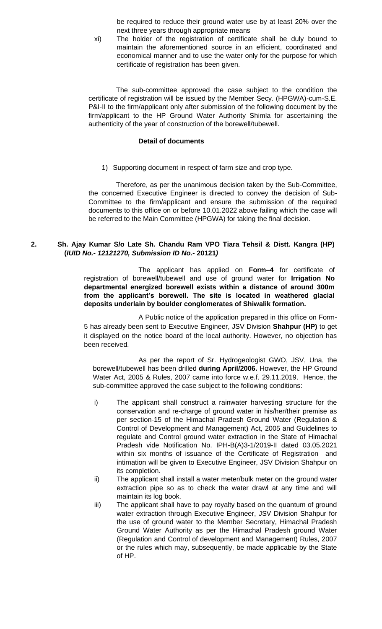be required to reduce their ground water use by at least 20% over the next three years through appropriate means

xi) The holder of the registration of certificate shall be duly bound to maintain the aforementioned source in an efficient, coordinated and economical manner and to use the water only for the purpose for which certificate of registration has been given.

 The sub-committee approved the case subject to the condition the certificate of registration will be issued by the Member Secy. (HPGWA)-cum-S.E. P&I-II to the firm/applicant only after submission of the following document by the firm/applicant to the HP Ground Water Authority Shimla for ascertaining the authenticity of the year of construction of the borewell/tubewell.

#### **Detail of documents**

1) Supporting document in respect of farm size and crop type.

Therefore, as per the unanimous decision taken by the Sub-Committee, the concerned Executive Engineer is directed to convey the decision of Sub-Committee to the firm/applicant and ensure the submission of the required documents to this office on or before 10.01.2022 above failing which the case will be referred to the Main Committee (HPGWA) for taking the final decision.

#### **2. Sh. Ajay Kumar S/o Late Sh. Chandu Ram VPO Tiara Tehsil & Distt. Kangra (HP) (***IUID No.- 12121270, Submission ID No.-* **20121***)*

The applicant has applied on **Form–4** for certificate of registration of borewell/tubewell and use of ground water for **Irrigation No departmental energized borewell exists within a distance of around 300m from the applicant's borewell. The site is located in weathered glacial deposits underlain by boulder conglomerates of Shiwalik formation.** 

A Public notice of the application prepared in this office on Form-5 has already been sent to Executive Engineer, JSV Division **Shahpur (HP)** to get it displayed on the notice board of the local authority. However, no objection has been received.

As per the report of Sr. Hydrogeologist GWO, JSV, Una, the borewell/tubewell has been drilled **during April/2006.** However, the HP Ground Water Act, 2005 & Rules, 2007 came into force w.e.f. 29.11.2019. Hence, the sub-committee approved the case subject to the following conditions:

- i) The applicant shall construct a rainwater harvesting structure for the conservation and re-charge of ground water in his/her/their premise as per section-15 of the Himachal Pradesh Ground Water (Regulation & Control of Development and Management) Act, 2005 and Guidelines to regulate and Control ground water extraction in the State of Himachal Pradesh vide Notification No. IPH-B(A)3-1/2019-II dated 03.05.2021 within six months of issuance of the Certificate of Registration and intimation will be given to Executive Engineer, JSV Division Shahpur on its completion.
- ii) The applicant shall install a water meter/bulk meter on the ground water extraction pipe so as to check the water drawl at any time and will maintain its log book.
- iii) The applicant shall have to pay royalty based on the quantum of ground water extraction through Executive Engineer, JSV Division Shahpur for the use of ground water to the Member Secretary, Himachal Pradesh Ground Water Authority as per the Himachal Pradesh ground Water (Regulation and Control of development and Management) Rules, 2007 or the rules which may, subsequently, be made applicable by the State of HP.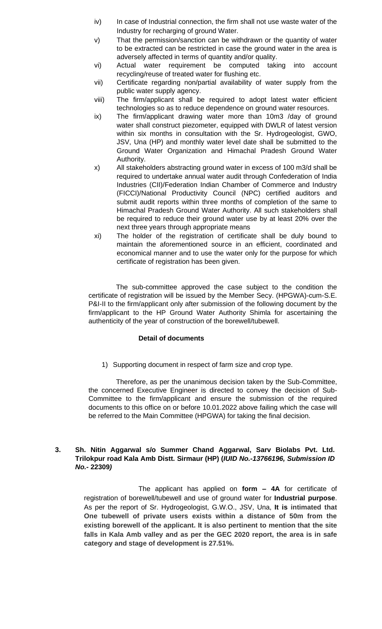- iv) In case of Industrial connection, the firm shall not use waste water of the Industry for recharging of ground Water.
- v) That the permission/sanction can be withdrawn or the quantity of water to be extracted can be restricted in case the ground water in the area is adversely affected in terms of quantity and/or quality.
- vi) Actual water requirement be computed taking into account recycling/reuse of treated water for flushing etc.
- vii) Certificate regarding non/partial availability of water supply from the public water supply agency.
- viii) The firm/applicant shall be required to adopt latest water efficient technologies so as to reduce dependence on ground water resources.
- ix) The firm/applicant drawing water more than 10m3 /day of ground water shall construct piezometer, equipped with DWLR of latest version within six months in consultation with the Sr. Hydrogeologist, GWO, JSV, Una (HP) and monthly water level date shall be submitted to the Ground Water Organization and Himachal Pradesh Ground Water Authority.
- x) All stakeholders abstracting ground water in excess of 100 m3/d shall be required to undertake annual water audit through Confederation of India Industries (CII)/Federation Indian Chamber of Commerce and Industry (FICCI)/National Productivity Council (NPC) certified auditors and submit audit reports within three months of completion of the same to Himachal Pradesh Ground Water Authority. All such stakeholders shall be required to reduce their ground water use by at least 20% over the next three years through appropriate means
- xi) The holder of the registration of certificate shall be duly bound to maintain the aforementioned source in an efficient, coordinated and economical manner and to use the water only for the purpose for which certificate of registration has been given.

 The sub-committee approved the case subject to the condition the certificate of registration will be issued by the Member Secy. (HPGWA)-cum-S.E. P&I-II to the firm/applicant only after submission of the following document by the firm/applicant to the HP Ground Water Authority Shimla for ascertaining the authenticity of the year of construction of the borewell/tubewell.

# **Detail of documents**

1) Supporting document in respect of farm size and crop type.

Therefore, as per the unanimous decision taken by the Sub-Committee, the concerned Executive Engineer is directed to convey the decision of Sub-Committee to the firm/applicant and ensure the submission of the required documents to this office on or before 10.01.2022 above failing which the case will be referred to the Main Committee (HPGWA) for taking the final decision.

# **3. Sh. Nitin Aggarwal s/o Summer Chand Aggarwal, Sarv Biolabs Pvt. Ltd. Trilokpur road Kala Amb Distt. Sirmaur (HP) (***IUID No.-13766196, Submission ID No.-* **22309***)*

The applicant has applied on **form – 4A** for certificate of registration of borewell/tubewell and use of ground water for **Industrial purpose**. As per the report of Sr. Hydrogeologist, G.W.O., JSV, Una, **It is intimated that One tubewell of private users exists within a distance of 50m from the existing borewell of the applicant. It is also pertinent to mention that the site falls in Kala Amb valley and as per the GEC 2020 report, the area is in safe category and stage of development is 27.51%.**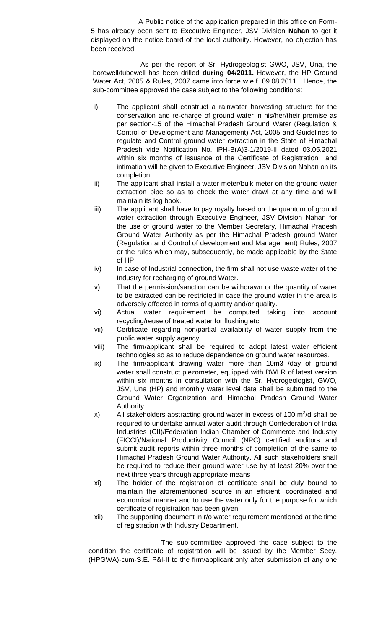A Public notice of the application prepared in this office on Form-5 has already been sent to Executive Engineer, JSV Division **Nahan** to get it displayed on the notice board of the local authority. However, no objection has been received.

As per the report of Sr. Hydrogeologist GWO, JSV, Una, the borewell/tubewell has been drilled **during 04/2011.** However, the HP Ground Water Act, 2005 & Rules, 2007 came into force w.e.f. 09.08.2011. Hence, the sub-committee approved the case subject to the following conditions:

- i) The applicant shall construct a rainwater harvesting structure for the conservation and re-charge of ground water in his/her/their premise as per section-15 of the Himachal Pradesh Ground Water (Regulation & Control of Development and Management) Act, 2005 and Guidelines to regulate and Control ground water extraction in the State of Himachal Pradesh vide Notification No. IPH-B(A)3-1/2019-II dated 03.05.2021 within six months of issuance of the Certificate of Registration and intimation will be given to Executive Engineer, JSV Division Nahan on its completion.
- ii) The applicant shall install a water meter/bulk meter on the ground water extraction pipe so as to check the water drawl at any time and will maintain its log book.
- iii) The applicant shall have to pay royalty based on the quantum of ground water extraction through Executive Engineer, JSV Division Nahan for the use of ground water to the Member Secretary, Himachal Pradesh Ground Water Authority as per the Himachal Pradesh ground Water (Regulation and Control of development and Management) Rules, 2007 or the rules which may, subsequently, be made applicable by the State of HP.
- iv) In case of Industrial connection, the firm shall not use waste water of the Industry for recharging of ground Water.
- v) That the permission/sanction can be withdrawn or the quantity of water to be extracted can be restricted in case the ground water in the area is adversely affected in terms of quantity and/or quality.
- vi) Actual water requirement be computed taking into account recycling/reuse of treated water for flushing etc.
- vii) Certificate regarding non/partial availability of water supply from the public water supply agency.
- viii) The firm/applicant shall be required to adopt latest water efficient technologies so as to reduce dependence on ground water resources.
- ix) The firm/applicant drawing water more than 10m3 /day of ground water shall construct piezometer, equipped with DWLR of latest version within six months in consultation with the Sr. Hydrogeologist, GWO, JSV, Una (HP) and monthly water level data shall be submitted to the Ground Water Organization and Himachal Pradesh Ground Water Authority.
- x) All stakeholders abstracting ground water in excess of 100  $\mathrm{m}^3$ /d shall be required to undertake annual water audit through Confederation of India Industries (CII)/Federation Indian Chamber of Commerce and Industry (FICCI)/National Productivity Council (NPC) certified auditors and submit audit reports within three months of completion of the same to Himachal Pradesh Ground Water Authority. All such stakeholders shall be required to reduce their ground water use by at least 20% over the next three years through appropriate means
- xi) The holder of the registration of certificate shall be duly bound to maintain the aforementioned source in an efficient, coordinated and economical manner and to use the water only for the purpose for which certificate of registration has been given.
- xii) The supporting document in r/o water requirement mentioned at the time of registration with Industry Department.

The sub-committee approved the case subject to the condition the certificate of registration will be issued by the Member Secy. (HPGWA)-cum-S.E. P&I-II to the firm/applicant only after submission of any one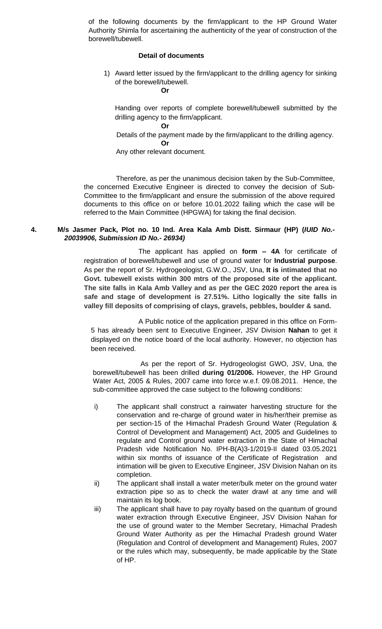of the following documents by the firm/applicant to the HP Ground Water Authority Shimla for ascertaining the authenticity of the year of construction of the borewell/tubewell.

#### **Detail of documents**

1) Award letter issued by the firm/applicant to the drilling agency for sinking of the borewell/tubewell.

**Or**

Handing over reports of complete borewell/tubewell submitted by the drilling agency to the firm/applicant.

**Or**

 Details of the payment made by the firm/applicant to the drilling agency. **Or**

Any other relevant document.

Therefore, as per the unanimous decision taken by the Sub-Committee, the concerned Executive Engineer is directed to convey the decision of Sub-Committee to the firm/applicant and ensure the submission of the above required documents to this office on or before 10.01.2022 failing which the case will be referred to the Main Committee (HPGWA) for taking the final decision.

#### **4. M/s Jasmer Pack, Plot no. 10 Ind. Area Kala Amb Distt. Sirmaur (HP) (***IUID No.- 20039906, Submission ID No.- 26934)*

The applicant has applied on **form – 4A** for certificate of registration of borewell/tubewell and use of ground water for **Industrial purpose**. As per the report of Sr. Hydrogeologist, G.W.O., JSV, Una, **It is intimated that no Govt. tubewell exists within 300 mtrs of the proposed site of the applicant. The site falls in Kala Amb Valley and as per the GEC 2020 report the area is safe and stage of development is 27.51%. Litho logically the site falls in valley fill deposits of comprising of clays, gravels, pebbles, boulder & sand.**

A Public notice of the application prepared in this office on Form-5 has already been sent to Executive Engineer, JSV Division **Nahan** to get it displayed on the notice board of the local authority. However, no objection has been received.

As per the report of Sr. Hydrogeologist GWO, JSV, Una, the borewell/tubewell has been drilled **during 01/2006.** However, the HP Ground Water Act, 2005 & Rules, 2007 came into force w.e.f. 09.08.2011. Hence, the sub-committee approved the case subject to the following conditions:

- i) The applicant shall construct a rainwater harvesting structure for the conservation and re-charge of ground water in his/her/their premise as per section-15 of the Himachal Pradesh Ground Water (Regulation & Control of Development and Management) Act, 2005 and Guidelines to regulate and Control ground water extraction in the State of Himachal Pradesh vide Notification No. IPH-B(A)3-1/2019-II dated 03.05.2021 within six months of issuance of the Certificate of Registration and intimation will be given to Executive Engineer, JSV Division Nahan on its completion.
- ii) The applicant shall install a water meter/bulk meter on the ground water extraction pipe so as to check the water drawl at any time and will maintain its log book.
- iii) The applicant shall have to pay royalty based on the quantum of ground water extraction through Executive Engineer, JSV Division Nahan for the use of ground water to the Member Secretary, Himachal Pradesh Ground Water Authority as per the Himachal Pradesh ground Water (Regulation and Control of development and Management) Rules, 2007 or the rules which may, subsequently, be made applicable by the State of HP.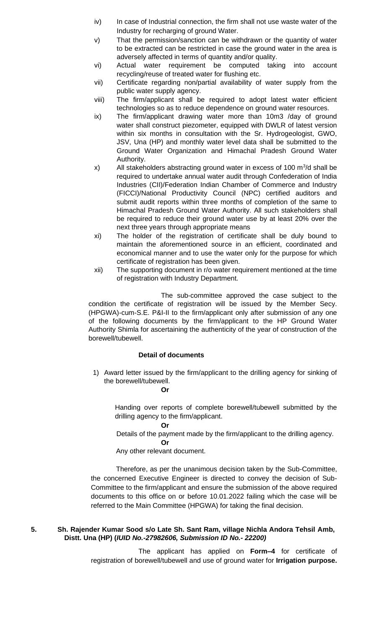- iv) In case of Industrial connection, the firm shall not use waste water of the Industry for recharging of ground Water.
- v) That the permission/sanction can be withdrawn or the quantity of water to be extracted can be restricted in case the ground water in the area is adversely affected in terms of quantity and/or quality.
- vi) Actual water requirement be computed taking into account recycling/reuse of treated water for flushing etc.
- vii) Certificate regarding non/partial availability of water supply from the public water supply agency.
- viii) The firm/applicant shall be required to adopt latest water efficient technologies so as to reduce dependence on ground water resources.
- ix) The firm/applicant drawing water more than 10m3 /day of ground water shall construct piezometer, equipped with DWLR of latest version within six months in consultation with the Sr. Hydrogeologist, GWO, JSV, Una (HP) and monthly water level data shall be submitted to the Ground Water Organization and Himachal Pradesh Ground Water Authority.
- $x$ ) All stakeholders abstracting ground water in excess of 100 m<sup>3</sup>/d shall be required to undertake annual water audit through Confederation of India Industries (CII)/Federation Indian Chamber of Commerce and Industry (FICCI)/National Productivity Council (NPC) certified auditors and submit audit reports within three months of completion of the same to Himachal Pradesh Ground Water Authority. All such stakeholders shall be required to reduce their ground water use by at least 20% over the next three years through appropriate means
- xi) The holder of the registration of certificate shall be duly bound to maintain the aforementioned source in an efficient, coordinated and economical manner and to use the water only for the purpose for which certificate of registration has been given.
- xii) The supporting document in r/o water requirement mentioned at the time of registration with Industry Department.

The sub-committee approved the case subject to the condition the certificate of registration will be issued by the Member Secy. (HPGWA)-cum-S.E. P&I-II to the firm/applicant only after submission of any one of the following documents by the firm/applicant to the HP Ground Water Authority Shimla for ascertaining the authenticity of the year of construction of the borewell/tubewell.

# **Detail of documents**

1) Award letter issued by the firm/applicant to the drilling agency for sinking of the borewell/tubewell. **Or**

Handing over reports of complete borewell/tubewell submitted by the drilling agency to the firm/applicant.

**Or**

Details of the payment made by the firm/applicant to the drilling agency.

**Or** Any other relevant document.

Therefore, as per the unanimous decision taken by the Sub-Committee, the concerned Executive Engineer is directed to convey the decision of Sub-Committee to the firm/applicant and ensure the submission of the above required documents to this office on or before 10.01.2022 failing which the case will be referred to the Main Committee (HPGWA) for taking the final decision.

#### **5. Sh. Rajender Kumar Sood s/o Late Sh. Sant Ram, village Nichla Andora Tehsil Amb, Distt. Una (HP) (***IUID No.-27982606, Submission ID No.- 22200)*

The applicant has applied on **Form–4** for certificate of registration of borewell/tubewell and use of ground water for **Irrigation purpose.**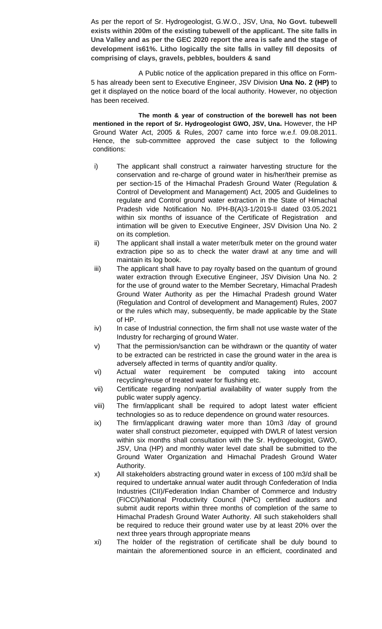As per the report of Sr. Hydrogeologist, G.W.O., JSV, Una, **No Govt. tubewell exists within 200m of the existing tubewell of the applicant. The site falls in Una Valley and as per the GEC 2020 report the area is safe and the stage of development is61%. Litho logically the site falls in valley fill deposits of comprising of clays, gravels, pebbles, boulders & sand**

A Public notice of the application prepared in this office on Form-5 has already been sent to Executive Engineer, JSV Division **Una No. 2 (HP)** to get it displayed on the notice board of the local authority. However, no objection has been received.

**The month & year of construction of the borewell has not been mentioned in the report of Sr. Hydrogeologist GWO, JSV, Una.** However, the HP Ground Water Act, 2005 & Rules, 2007 came into force w.e.f. 09.08.2011. Hence, the sub-committee approved the case subject to the following conditions:

- i) The applicant shall construct a rainwater harvesting structure for the conservation and re-charge of ground water in his/her/their premise as per section-15 of the Himachal Pradesh Ground Water (Regulation & Control of Development and Management) Act, 2005 and Guidelines to regulate and Control ground water extraction in the State of Himachal Pradesh vide Notification No. IPH-B(A)3-1/2019-II dated 03.05.2021 within six months of issuance of the Certificate of Registration and intimation will be given to Executive Engineer, JSV Division Una No. 2 on its completion.
- ii) The applicant shall install a water meter/bulk meter on the ground water extraction pipe so as to check the water drawl at any time and will maintain its log book.
- iii) The applicant shall have to pay royalty based on the quantum of ground water extraction through Executive Engineer, JSV Division Una No. 2 for the use of ground water to the Member Secretary, Himachal Pradesh Ground Water Authority as per the Himachal Pradesh ground Water (Regulation and Control of development and Management) Rules, 2007 or the rules which may, subsequently, be made applicable by the State of HP.
- iv) In case of Industrial connection, the firm shall not use waste water of the Industry for recharging of ground Water.
- v) That the permission/sanction can be withdrawn or the quantity of water to be extracted can be restricted in case the ground water in the area is adversely affected in terms of quantity and/or quality.
- vi) Actual water requirement be computed taking into account recycling/reuse of treated water for flushing etc.
- vii) Certificate regarding non/partial availability of water supply from the public water supply agency.
- viii) The firm/applicant shall be required to adopt latest water efficient technologies so as to reduce dependence on ground water resources.
- ix) The firm/applicant drawing water more than 10m3 /day of ground water shall construct piezometer, equipped with DWLR of latest version within six months shall consultation with the Sr. Hydrogeologist, GWO, JSV, Una (HP) and monthly water level date shall be submitted to the Ground Water Organization and Himachal Pradesh Ground Water Authority.
- x) All stakeholders abstracting ground water in excess of 100 m3/d shall be required to undertake annual water audit through Confederation of India Industries (CII)/Federation Indian Chamber of Commerce and Industry (FICCI)/National Productivity Council (NPC) certified auditors and submit audit reports within three months of completion of the same to Himachal Pradesh Ground Water Authority. All such stakeholders shall be required to reduce their ground water use by at least 20% over the next three years through appropriate means
- xi) The holder of the registration of certificate shall be duly bound to maintain the aforementioned source in an efficient, coordinated and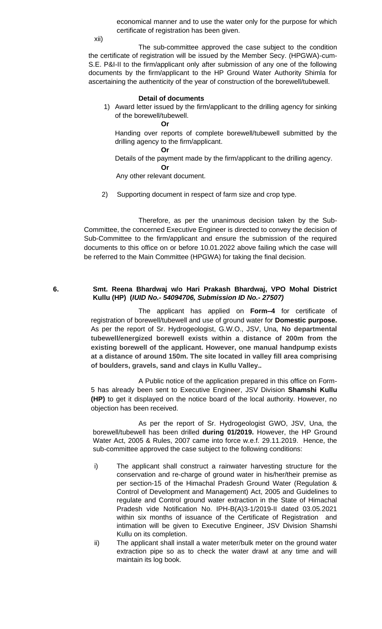economical manner and to use the water only for the purpose for which certificate of registration has been given.

xii)

The sub-committee approved the case subject to the condition the certificate of registration will be issued by the Member Secy. (HPGWA)-cum-S.E. P&I-II to the firm/applicant only after submission of any one of the following documents by the firm/applicant to the HP Ground Water Authority Shimla for ascertaining the authenticity of the year of construction of the borewell/tubewell.

#### **Detail of documents**

1) Award letter issued by the firm/applicant to the drilling agency for sinking of the borewell/tubewell.

**Or**

Handing over reports of complete borewell/tubewell submitted by the drilling agency to the firm/applicant.

**Or**

Details of the payment made by the firm/applicant to the drilling agency.

**Or** Any other relevant document.

2) Supporting document in respect of farm size and crop type.

Therefore, as per the unanimous decision taken by the Sub-Committee, the concerned Executive Engineer is directed to convey the decision of Sub-Committee to the firm/applicant and ensure the submission of the required documents to this office on or before 10.01.2022 above failing which the case will be referred to the Main Committee (HPGWA) for taking the final decision.

#### **6. Smt. Reena Bhardwaj w/o Hari Prakash Bhardwaj, VPO Mohal District Kullu (HP) (***IUID No.- 54094706, Submission ID No.- 27507)*

The applicant has applied on **Form–4** for certificate of registration of borewell/tubewell and use of ground water for **Domestic purpose.** As per the report of Sr. Hydrogeologist, G.W.O., JSV, Una, **No departmental tubewell/energized borewell exists within a distance of 200m from the existing borewell of the applicant. However, one manual handpump exists at a distance of around 150m. The site located in valley fill area comprising of boulders, gravels, sand and clays in Kullu Valley..**

A Public notice of the application prepared in this office on Form-5 has already been sent to Executive Engineer, JSV Division **Shamshi Kullu (HP)** to get it displayed on the notice board of the local authority. However, no objection has been received.

As per the report of Sr. Hydrogeologist GWO, JSV, Una, the borewell/tubewell has been drilled **during 01/2019.** However, the HP Ground Water Act, 2005 & Rules, 2007 came into force w.e.f. 29.11.2019. Hence, the sub-committee approved the case subject to the following conditions:

- i) The applicant shall construct a rainwater harvesting structure for the conservation and re-charge of ground water in his/her/their premise as per section-15 of the Himachal Pradesh Ground Water (Regulation & Control of Development and Management) Act, 2005 and Guidelines to regulate and Control ground water extraction in the State of Himachal Pradesh vide Notification No. IPH-B(A)3-1/2019-II dated 03.05.2021 within six months of issuance of the Certificate of Registration and intimation will be given to Executive Engineer, JSV Division Shamshi Kullu on its completion.
- ii) The applicant shall install a water meter/bulk meter on the ground water extraction pipe so as to check the water drawl at any time and will maintain its log book.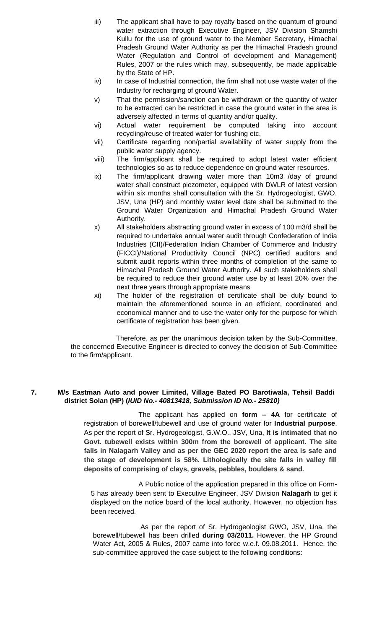- iii) The applicant shall have to pay royalty based on the quantum of ground water extraction through Executive Engineer, JSV Division Shamshi Kullu for the use of ground water to the Member Secretary, Himachal Pradesh Ground Water Authority as per the Himachal Pradesh ground Water (Regulation and Control of development and Management) Rules, 2007 or the rules which may, subsequently, be made applicable by the State of HP.
- iv) In case of Industrial connection, the firm shall not use waste water of the Industry for recharging of ground Water.
- v) That the permission/sanction can be withdrawn or the quantity of water to be extracted can be restricted in case the ground water in the area is adversely affected in terms of quantity and/or quality.
- vi) Actual water requirement be computed taking into account recycling/reuse of treated water for flushing etc.
- vii) Certificate regarding non/partial availability of water supply from the public water supply agency.
- viii) The firm/applicant shall be required to adopt latest water efficient technologies so as to reduce dependence on ground water resources.
- ix) The firm/applicant drawing water more than 10m3 /day of ground water shall construct piezometer, equipped with DWLR of latest version within six months shall consultation with the Sr. Hydrogeologist, GWO, JSV, Una (HP) and monthly water level date shall be submitted to the Ground Water Organization and Himachal Pradesh Ground Water Authority.
- x) All stakeholders abstracting ground water in excess of 100 m3/d shall be required to undertake annual water audit through Confederation of India Industries (CII)/Federation Indian Chamber of Commerce and Industry (FICCI)/National Productivity Council (NPC) certified auditors and submit audit reports within three months of completion of the same to Himachal Pradesh Ground Water Authority. All such stakeholders shall be required to reduce their ground water use by at least 20% over the next three years through appropriate means
- xi) The holder of the registration of certificate shall be duly bound to maintain the aforementioned source in an efficient, coordinated and economical manner and to use the water only for the purpose for which certificate of registration has been given.

# **7. M/s Eastman Auto and power Limited, Village Bated PO Barotiwala, Tehsil Baddi district Solan (HP) (***IUID No.- 40813418, Submission ID No.- 25810)*

The applicant has applied on **form – 4A** for certificate of registration of borewell/tubewell and use of ground water for **Industrial purpose**. As per the report of Sr. Hydrogeologist, G.W.O., JSV, Una, **It is intimated that no Govt. tubewell exists within 300m from the borewell of applicant. The site falls in Nalagarh Valley and as per the GEC 2020 report the area is safe and the stage of development is 58%. Lithologically the site falls in valley fill deposits of comprising of clays, gravels, pebbles, boulders & sand.**

A Public notice of the application prepared in this office on Form-5 has already been sent to Executive Engineer, JSV Division **Nalagarh** to get it displayed on the notice board of the local authority. However, no objection has been received.

As per the report of Sr. Hydrogeologist GWO, JSV, Una, the borewell/tubewell has been drilled **during 03/2011.** However, the HP Ground Water Act, 2005 & Rules, 2007 came into force w.e.f. 09.08.2011. Hence, the sub-committee approved the case subject to the following conditions: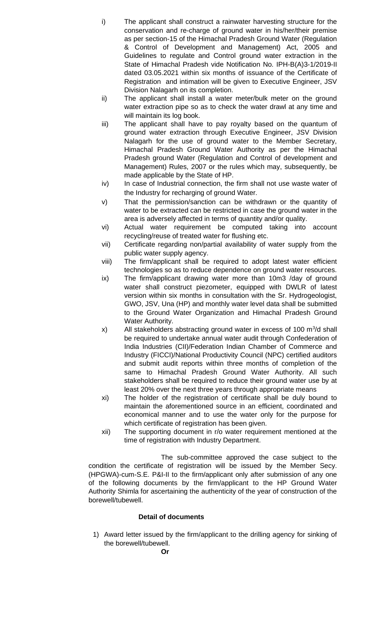- i) The applicant shall construct a rainwater harvesting structure for the conservation and re-charge of ground water in his/her/their premise as per section-15 of the Himachal Pradesh Ground Water (Regulation & Control of Development and Management) Act, 2005 and Guidelines to regulate and Control ground water extraction in the State of Himachal Pradesh vide Notification No. IPH-B(A)3-1/2019-II dated 03.05.2021 within six months of issuance of the Certificate of Registration and intimation will be given to Executive Engineer, JSV Division Nalagarh on its completion.
- ii) The applicant shall install a water meter/bulk meter on the ground water extraction pipe so as to check the water drawl at any time and will maintain its log book.
- iii) The applicant shall have to pay royalty based on the quantum of ground water extraction through Executive Engineer, JSV Division Nalagarh for the use of ground water to the Member Secretary, Himachal Pradesh Ground Water Authority as per the Himachal Pradesh ground Water (Regulation and Control of development and Management) Rules, 2007 or the rules which may, subsequently, be made applicable by the State of HP.
- iv) In case of Industrial connection, the firm shall not use waste water of the Industry for recharging of ground Water.
- v) That the permission/sanction can be withdrawn or the quantity of water to be extracted can be restricted in case the ground water in the area is adversely affected in terms of quantity and/or quality.
- vi) Actual water requirement be computed taking into account recycling/reuse of treated water for flushing etc.
- vii) Certificate regarding non/partial availability of water supply from the public water supply agency.
- viii) The firm/applicant shall be required to adopt latest water efficient technologies so as to reduce dependence on ground water resources.
- ix) The firm/applicant drawing water more than 10m3 /day of ground water shall construct piezometer, equipped with DWLR of latest version within six months in consultation with the Sr. Hydrogeologist, GWO, JSV, Una (HP) and monthly water level data shall be submitted to the Ground Water Organization and Himachal Pradesh Ground Water Authority.
- x) All stakeholders abstracting ground water in excess of 100  $\mathrm{m}^3/\mathrm{d}$  shall be required to undertake annual water audit through Confederation of India Industries (CII)/Federation Indian Chamber of Commerce and Industry (FICCI)/National Productivity Council (NPC) certified auditors and submit audit reports within three months of completion of the same to Himachal Pradesh Ground Water Authority. All such stakeholders shall be required to reduce their ground water use by at least 20% over the next three years through appropriate means
- xi) The holder of the registration of certificate shall be duly bound to maintain the aforementioned source in an efficient, coordinated and economical manner and to use the water only for the purpose for which certificate of registration has been given.
- xii) The supporting document in r/o water requirement mentioned at the time of registration with Industry Department.

The sub-committee approved the case subject to the condition the certificate of registration will be issued by the Member Secy. (HPGWA)-cum-S.E. P&I-II to the firm/applicant only after submission of any one of the following documents by the firm/applicant to the HP Ground Water Authority Shimla for ascertaining the authenticity of the year of construction of the borewell/tubewell.

# **Detail of documents**

1) Award letter issued by the firm/applicant to the drilling agency for sinking of the borewell/tubewell.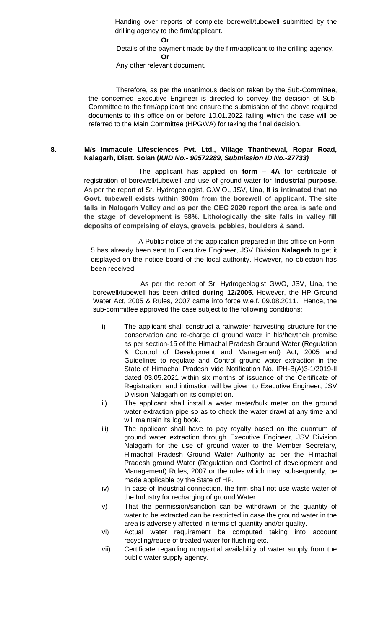Handing over reports of complete borewell/tubewell submitted by the drilling agency to the firm/applicant.

**Or**

 Details of the payment made by the firm/applicant to the drilling agency. **Or**

Any other relevant document.

Therefore, as per the unanimous decision taken by the Sub-Committee, the concerned Executive Engineer is directed to convey the decision of Sub-Committee to the firm/applicant and ensure the submission of the above required documents to this office on or before 10.01.2022 failing which the case will be referred to the Main Committee (HPGWA) for taking the final decision.

# **8. M/s Immacule Lifesciences Pvt. Ltd., Village Thanthewal, Ropar Road, Nalagarh, Distt. Solan (***IUID No.- 90572289, Submission ID No.-27733)*

The applicant has applied on **form – 4A** for certificate of registration of borewell/tubewell and use of ground water for **Industrial purpose**. As per the report of Sr. Hydrogeologist, G.W.O., JSV, Una, **It is intimated that no Govt. tubewell exists within 300m from the borewell of applicant. The site falls in Nalagarh Valley and as per the GEC 2020 report the area is safe and the stage of development is 58%. Lithologically the site falls in valley fill deposits of comprising of clays, gravels, pebbles, boulders & sand.**

A Public notice of the application prepared in this office on Form-5 has already been sent to Executive Engineer, JSV Division **Nalagarh** to get it displayed on the notice board of the local authority. However, no objection has been received.

As per the report of Sr. Hydrogeologist GWO, JSV, Una, the borewell/tubewell has been drilled **during 12/2005.** However, the HP Ground Water Act, 2005 & Rules, 2007 came into force w.e.f. 09.08.2011. Hence, the sub-committee approved the case subject to the following conditions:

- i) The applicant shall construct a rainwater harvesting structure for the conservation and re-charge of ground water in his/her/their premise as per section-15 of the Himachal Pradesh Ground Water (Regulation & Control of Development and Management) Act, 2005 and Guidelines to regulate and Control ground water extraction in the State of Himachal Pradesh vide Notification No. IPH-B(A)3-1/2019-II dated 03.05.2021 within six months of issuance of the Certificate of Registration and intimation will be given to Executive Engineer, JSV Division Nalagarh on its completion.
- ii) The applicant shall install a water meter/bulk meter on the ground water extraction pipe so as to check the water drawl at any time and will maintain its log book.
- iii) The applicant shall have to pay royalty based on the quantum of ground water extraction through Executive Engineer, JSV Division Nalagarh for the use of ground water to the Member Secretary, Himachal Pradesh Ground Water Authority as per the Himachal Pradesh ground Water (Regulation and Control of development and Management) Rules, 2007 or the rules which may, subsequently, be made applicable by the State of HP.
- iv) In case of Industrial connection, the firm shall not use waste water of the Industry for recharging of ground Water.
- v) That the permission/sanction can be withdrawn or the quantity of water to be extracted can be restricted in case the ground water in the area is adversely affected in terms of quantity and/or quality.
- vi) Actual water requirement be computed taking into account recycling/reuse of treated water for flushing etc.
- vii) Certificate regarding non/partial availability of water supply from the public water supply agency.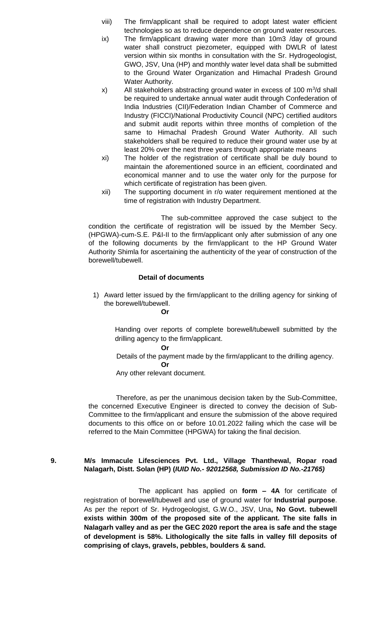- viii) The firm/applicant shall be required to adopt latest water efficient technologies so as to reduce dependence on ground water resources.
- ix) The firm/applicant drawing water more than 10m3 /day of ground water shall construct piezometer, equipped with DWLR of latest version within six months in consultation with the Sr. Hydrogeologist, GWO, JSV, Una (HP) and monthly water level data shall be submitted to the Ground Water Organization and Himachal Pradesh Ground Water Authority.
- x) All stakeholders abstracting ground water in excess of 100  $\mathrm{m}^3/\mathrm{d}$  shall be required to undertake annual water audit through Confederation of India Industries (CII)/Federation Indian Chamber of Commerce and Industry (FICCI)/National Productivity Council (NPC) certified auditors and submit audit reports within three months of completion of the same to Himachal Pradesh Ground Water Authority. All such stakeholders shall be required to reduce their ground water use by at least 20% over the next three years through appropriate means
- xi) The holder of the registration of certificate shall be duly bound to maintain the aforementioned source in an efficient, coordinated and economical manner and to use the water only for the purpose for which certificate of registration has been given.
- xii) The supporting document in r/o water requirement mentioned at the time of registration with Industry Department.

The sub-committee approved the case subject to the condition the certificate of registration will be issued by the Member Secy. (HPGWA)-cum-S.E. P&I-II to the firm/applicant only after submission of any one of the following documents by the firm/applicant to the HP Ground Water Authority Shimla for ascertaining the authenticity of the year of construction of the borewell/tubewell.

## **Detail of documents**

1) Award letter issued by the firm/applicant to the drilling agency for sinking of the borewell/tubewell.

Handing over reports of complete borewell/tubewell submitted by the drilling agency to the firm/applicant.

**Or**

**Or**

 Details of the payment made by the firm/applicant to the drilling agency. **Or**

Any other relevant document.

Therefore, as per the unanimous decision taken by the Sub-Committee, the concerned Executive Engineer is directed to convey the decision of Sub-Committee to the firm/applicant and ensure the submission of the above required documents to this office on or before 10.01.2022 failing which the case will be referred to the Main Committee (HPGWA) for taking the final decision.

# **9. M/s Immacule Lifesciences Pvt. Ltd., Village Thanthewal, Ropar road Nalagarh, Distt. Solan (HP) (***IUID No.- 92012568, Submission ID No.-21765)*

The applicant has applied on **form – 4A** for certificate of registration of borewell/tubewell and use of ground water for **Industrial purpose**. As per the report of Sr. Hydrogeologist, G.W.O., JSV, Una**, No Govt. tubewell exists within 300m of the proposed site of the applicant. The site falls in Nalagarh valley and as per the GEC 2020 report the area is safe and the stage of development is 58%. Lithologically the site falls in valley fill deposits of comprising of clays, gravels, pebbles, boulders & sand.**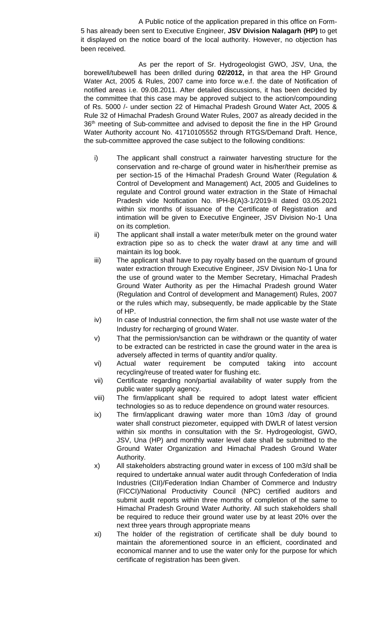A Public notice of the application prepared in this office on Form-5 has already been sent to Executive Engineer, **JSV Division Nalagarh (HP)** to get it displayed on the notice board of the local authority. However, no objection has been received.

As per the report of Sr. Hydrogeologist GWO, JSV, Una, the borewell/tubewell has been drilled during **02/2012,** in that area the HP Ground Water Act, 2005 & Rules, 2007 came into force w.e.f. the date of Notification of notified areas i.e. 09.08.2011. After detailed discussions, it has been decided by the committee that this case may be approved subject to the action/compounding of Rs. 5000 /- under section 22 of Himachal Pradesh Ground Water Act, 2005 & Rule 32 of Himachal Pradesh Ground Water Rules, 2007 as already decided in the 36<sup>th</sup> meeting of Sub-committee and advised to deposit the fine in the HP Ground Water Authority account No. 41710105552 through RTGS/Demand Draft. Hence, the sub-committee approved the case subject to the following conditions:

- i) The applicant shall construct a rainwater harvesting structure for the conservation and re-charge of ground water in his/her/their premise as per section-15 of the Himachal Pradesh Ground Water (Regulation & Control of Development and Management) Act, 2005 and Guidelines to regulate and Control ground water extraction in the State of Himachal Pradesh vide Notification No. IPH-B(A)3-1/2019-II dated 03.05.2021 within six months of issuance of the Certificate of Registration and intimation will be given to Executive Engineer, JSV Division No-1 Una on its completion.
- ii) The applicant shall install a water meter/bulk meter on the ground water extraction pipe so as to check the water drawl at any time and will maintain its log book.
- iii) The applicant shall have to pay royalty based on the quantum of ground water extraction through Executive Engineer, JSV Division No-1 Una for the use of ground water to the Member Secretary, Himachal Pradesh Ground Water Authority as per the Himachal Pradesh ground Water (Regulation and Control of development and Management) Rules, 2007 or the rules which may, subsequently, be made applicable by the State of HP.
- iv) In case of Industrial connection, the firm shall not use waste water of the Industry for recharging of ground Water.
- v) That the permission/sanction can be withdrawn or the quantity of water to be extracted can be restricted in case the ground water in the area is adversely affected in terms of quantity and/or quality.
- vi) Actual water requirement be computed taking into account recycling/reuse of treated water for flushing etc.
- vii) Certificate regarding non/partial availability of water supply from the public water supply agency.
- viii) The firm/applicant shall be required to adopt latest water efficient technologies so as to reduce dependence on ground water resources.
- ix) The firm/applicant drawing water more than 10m3 /day of ground water shall construct piezometer, equipped with DWLR of latest version within six months in consultation with the Sr. Hydrogeologist, GWO, JSV, Una (HP) and monthly water level date shall be submitted to the Ground Water Organization and Himachal Pradesh Ground Water Authority.
- x) All stakeholders abstracting ground water in excess of 100 m3/d shall be required to undertake annual water audit through Confederation of India Industries (CII)/Federation Indian Chamber of Commerce and Industry (FICCI)/National Productivity Council (NPC) certified auditors and submit audit reports within three months of completion of the same to Himachal Pradesh Ground Water Authority. All such stakeholders shall be required to reduce their ground water use by at least 20% over the next three years through appropriate means
- xi) The holder of the registration of certificate shall be duly bound to maintain the aforementioned source in an efficient, coordinated and economical manner and to use the water only for the purpose for which certificate of registration has been given.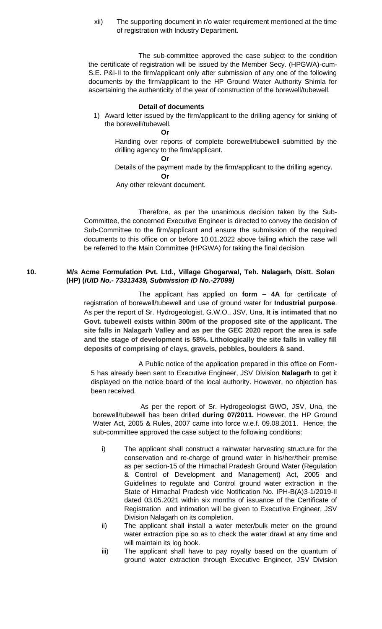xii) The supporting document in r/o water requirement mentioned at the time of registration with Industry Department.

The sub-committee approved the case subject to the condition the certificate of registration will be issued by the Member Secy. (HPGWA)-cum-S.E. P&I-II to the firm/applicant only after submission of any one of the following documents by the firm/applicant to the HP Ground Water Authority Shimla for ascertaining the authenticity of the year of construction of the borewell/tubewell.

#### **Detail of documents**

1) Award letter issued by the firm/applicant to the drilling agency for sinking of the borewell/tubewell.

#### **Or**

Handing over reports of complete borewell/tubewell submitted by the drilling agency to the firm/applicant.

#### **Or**

Details of the payment made by the firm/applicant to the drilling agency.

# **Or**

Any other relevant document.

Therefore, as per the unanimous decision taken by the Sub-Committee, the concerned Executive Engineer is directed to convey the decision of Sub-Committee to the firm/applicant and ensure the submission of the required documents to this office on or before 10.01.2022 above failing which the case will be referred to the Main Committee (HPGWA) for taking the final decision.

## **10. M/s Acme Formulation Pvt. Ltd., Village Ghogarwal, Teh. Nalagarh, Distt. Solan (HP) (***IUID No.- 73313439, Submission ID No.-27099)*

The applicant has applied on **form – 4A** for certificate of registration of borewell/tubewell and use of ground water for **Industrial purpose**. As per the report of Sr. Hydrogeologist, G.W.O., JSV, Una, **It is intimated that no Govt. tubewell exists within 300m of the proposed site of the applicant. The site falls in Nalagarh Valley and as per the GEC 2020 report the area is safe and the stage of development is 58%. Lithologically the site falls in valley fill deposits of comprising of clays, gravels, pebbles, boulders & sand.**

A Public notice of the application prepared in this office on Form-5 has already been sent to Executive Engineer, JSV Division **Nalagarh** to get it displayed on the notice board of the local authority. However, no objection has been received.

As per the report of Sr. Hydrogeologist GWO, JSV, Una, the borewell/tubewell has been drilled **during 07/2011.** However, the HP Ground Water Act, 2005 & Rules, 2007 came into force w.e.f. 09.08.2011. Hence, the sub-committee approved the case subject to the following conditions:

- i) The applicant shall construct a rainwater harvesting structure for the conservation and re-charge of ground water in his/her/their premise as per section-15 of the Himachal Pradesh Ground Water (Regulation & Control of Development and Management) Act, 2005 and Guidelines to regulate and Control ground water extraction in the State of Himachal Pradesh vide Notification No. IPH-B(A)3-1/2019-II dated 03.05.2021 within six months of issuance of the Certificate of Registration and intimation will be given to Executive Engineer, JSV Division Nalagarh on its completion.
- ii) The applicant shall install a water meter/bulk meter on the ground water extraction pipe so as to check the water drawl at any time and will maintain its log book.
- iii) The applicant shall have to pay royalty based on the quantum of ground water extraction through Executive Engineer, JSV Division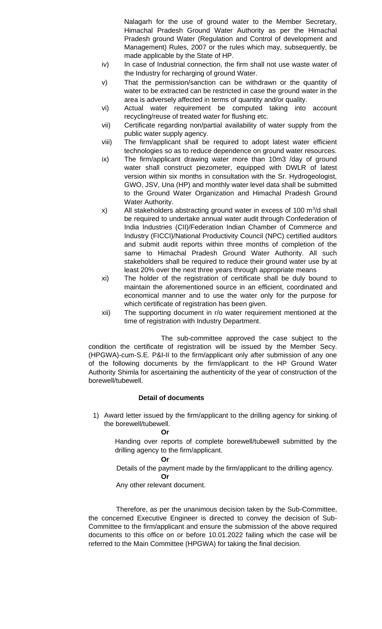Nalagarh for the use of ground water to the Member Secretary, Himachal Pradesh Ground Water Authority as per the Himachal Pradesh ground Water (Regulation and Control of development and Management) Rules, 2007 or the rules which may, subsequently, be made applicable by the State of HP.

- iv) In case of Industrial connection, the firm shall not use waste water of the Industry for recharging of ground Water.
- v) That the permission/sanction can be withdrawn or the quantity of water to be extracted can be restricted in case the ground water in the area is adversely affected in terms of quantity and/or quality.
- vi) Actual water requirement be computed taking into account recycling/reuse of treated water for flushing etc.
- vii) Certificate regarding non/partial availability of water supply from the public water supply agency.
- viii) The firm/applicant shall be required to adopt latest water efficient technologies so as to reduce dependence on ground water resources.
- ix) The firm/applicant drawing water more than 10m3 /day of ground water shall construct piezometer, equipped with DWLR of latest version within six months in consultation with the Sr. Hydrogeologist, GWO, JSV, Una (HP) and monthly water level data shall be submitted to the Ground Water Organization and Himachal Pradesh Ground Water Authority.
- x) All stakeholders abstracting ground water in excess of 100  $\mathrm{m}^3/\mathrm{d}$  shall be required to undertake annual water audit through Confederation of India Industries (CII)/Federation Indian Chamber of Commerce and Industry (FICCI)/National Productivity Council (NPC) certified auditors and submit audit reports within three months of completion of the same to Himachal Pradesh Ground Water Authority. All such stakeholders shall be required to reduce their ground water use by at least 20% over the next three years through appropriate means
- xi) The holder of the registration of certificate shall be duly bound to maintain the aforementioned source in an efficient, coordinated and economical manner and to use the water only for the purpose for which certificate of registration has been given.
- xii) The supporting document in r/o water requirement mentioned at the time of registration with Industry Department.

The sub-committee approved the case subject to the condition the certificate of registration will be issued by the Member Secy. (HPGWA)-cum-S.E. P&I-II to the firm/applicant only after submission of any one of the following documents by the firm/applicant to the HP Ground Water Authority Shimla for ascertaining the authenticity of the year of construction of the borewell/tubewell.

#### **Detail of documents**

1) Award letter issued by the firm/applicant to the drilling agency for sinking of the borewell/tubewell.

#### **Or**

Handing over reports of complete borewell/tubewell submitted by the drilling agency to the firm/applicant.

#### **Or**

 Details of the payment made by the firm/applicant to the drilling agency. **Or**

Any other relevant document.

Therefore, as per the unanimous decision taken by the Sub-Committee, the concerned Executive Engineer is directed to convey the decision of Sub-Committee to the firm/applicant and ensure the submission of the above required documents to this office on or before 10.01.2022 failing which the case will be referred to the Main Committee (HPGWA) for taking the final decision.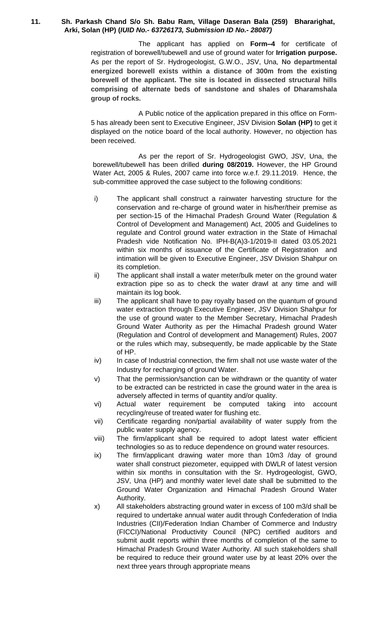## **11. Sh. Parkash Chand S/o Sh. Babu Ram, Village Daseran Bala (259) Bhararighat, Arki, Solan (HP) (***IUID No.- 63726173, Submission ID No.- 28087)*

The applicant has applied on **Form–4** for certificate of registration of borewell/tubewell and use of ground water for **Irrigation purpose.** As per the report of Sr. Hydrogeologist, G.W.O., JSV, Una, **No departmental energized borewell exists within a distance of 300m from the existing borewell of the applicant. The site is located in dissected structural hills comprising of alternate beds of sandstone and shales of Dharamshala group of rocks.**

A Public notice of the application prepared in this office on Form-5 has already been sent to Executive Engineer, JSV Division **Solan (HP)** to get it displayed on the notice board of the local authority. However, no objection has been received.

As per the report of Sr. Hydrogeologist GWO, JSV, Una, the borewell/tubewell has been drilled **during 08/2019.** However, the HP Ground Water Act, 2005 & Rules, 2007 came into force w.e.f. 29.11.2019. Hence, the sub-committee approved the case subject to the following conditions:

- i) The applicant shall construct a rainwater harvesting structure for the conservation and re-charge of ground water in his/her/their premise as per section-15 of the Himachal Pradesh Ground Water (Regulation & Control of Development and Management) Act, 2005 and Guidelines to regulate and Control ground water extraction in the State of Himachal Pradesh vide Notification No. IPH-B(A)3-1/2019-II dated 03.05.2021 within six months of issuance of the Certificate of Registration and intimation will be given to Executive Engineer, JSV Division Shahpur on its completion.
- ii) The applicant shall install a water meter/bulk meter on the ground water extraction pipe so as to check the water drawl at any time and will maintain its log book.
- iii) The applicant shall have to pay royalty based on the quantum of ground water extraction through Executive Engineer, JSV Division Shahpur for the use of ground water to the Member Secretary, Himachal Pradesh Ground Water Authority as per the Himachal Pradesh ground Water (Regulation and Control of development and Management) Rules, 2007 or the rules which may, subsequently, be made applicable by the State of HP.
- iv) In case of Industrial connection, the firm shall not use waste water of the Industry for recharging of ground Water.
- v) That the permission/sanction can be withdrawn or the quantity of water to be extracted can be restricted in case the ground water in the area is adversely affected in terms of quantity and/or quality.
- vi) Actual water requirement be computed taking into account recycling/reuse of treated water for flushing etc.
- vii) Certificate regarding non/partial availability of water supply from the public water supply agency.
- viii) The firm/applicant shall be required to adopt latest water efficient technologies so as to reduce dependence on ground water resources.
- ix) The firm/applicant drawing water more than 10m3 /day of ground water shall construct piezometer, equipped with DWLR of latest version within six months in consultation with the Sr. Hydrogeologist, GWO, JSV, Una (HP) and monthly water level date shall be submitted to the Ground Water Organization and Himachal Pradesh Ground Water Authority.
- x) All stakeholders abstracting ground water in excess of 100 m3/d shall be required to undertake annual water audit through Confederation of India Industries (CII)/Federation Indian Chamber of Commerce and Industry (FICCI)/National Productivity Council (NPC) certified auditors and submit audit reports within three months of completion of the same to Himachal Pradesh Ground Water Authority. All such stakeholders shall be required to reduce their ground water use by at least 20% over the next three years through appropriate means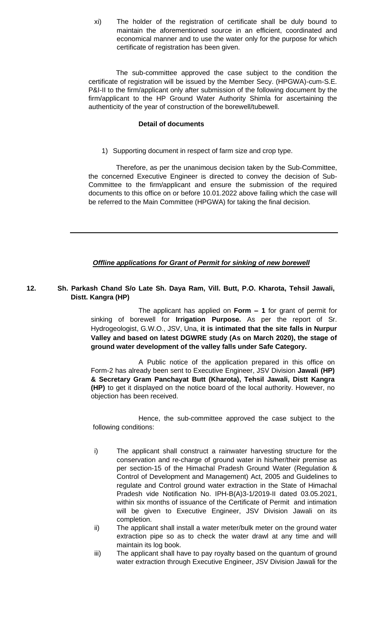xi) The holder of the registration of certificate shall be duly bound to maintain the aforementioned source in an efficient, coordinated and economical manner and to use the water only for the purpose for which certificate of registration has been given.

 The sub-committee approved the case subject to the condition the certificate of registration will be issued by the Member Secy. (HPGWA)-cum-S.E. P&I-II to the firm/applicant only after submission of the following document by the firm/applicant to the HP Ground Water Authority Shimla for ascertaining the authenticity of the year of construction of the borewell/tubewell.

#### **Detail of documents**

1) Supporting document in respect of farm size and crop type.

Therefore, as per the unanimous decision taken by the Sub-Committee, the concerned Executive Engineer is directed to convey the decision of Sub-Committee to the firm/applicant and ensure the submission of the required documents to this office on or before 10.01.2022 above failing which the case will be referred to the Main Committee (HPGWA) for taking the final decision.

#### **Offline applications for Grant of Permit for sinking of new borewell**

## **12. Sh. Parkash Chand S/o Late Sh. Daya Ram, Vill. Butt, P.O. Kharota, Tehsil Jawali, Distt. Kangra (HP)**

The applicant has applied on **Form – 1** for grant of permit for sinking of borewell for **Irrigation Purpose.** As per the report of Sr. Hydrogeologist, G.W.O., JSV, Una, **it is intimated that the site falls in Nurpur Valley and based on latest DGWRE study (As on March 2020), the stage of ground water development of the valley falls under Safe Category.**

A Public notice of the application prepared in this office on Form-2 has already been sent to Executive Engineer, JSV Division **Jawali (HP) & Secretary Gram Panchayat Butt (Kharota), Tehsil Jawali, Distt Kangra (HP)** to get it displayed on the notice board of the local authority. However, no objection has been received.

- i) The applicant shall construct a rainwater harvesting structure for the conservation and re-charge of ground water in his/her/their premise as per section-15 of the Himachal Pradesh Ground Water (Regulation & Control of Development and Management) Act, 2005 and Guidelines to regulate and Control ground water extraction in the State of Himachal Pradesh vide Notification No. IPH-B(A)3-1/2019-II dated 03.05.2021, within six months of issuance of the Certificate of Permit and intimation will be given to Executive Engineer, JSV Division Jawali on its completion.
- ii) The applicant shall install a water meter/bulk meter on the ground water extraction pipe so as to check the water drawl at any time and will maintain its log book.
- iii) The applicant shall have to pay royalty based on the quantum of ground water extraction through Executive Engineer, JSV Division Jawali for the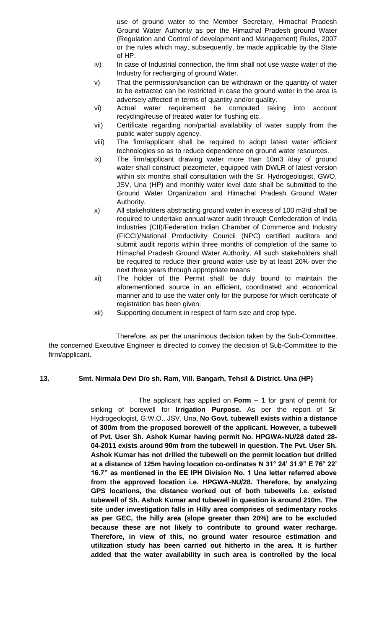use of ground water to the Member Secretary, Himachal Pradesh Ground Water Authority as per the Himachal Pradesh ground Water (Regulation and Control of development and Management) Rules, 2007 or the rules which may, subsequently, be made applicable by the State of HP.

- iv) In case of Industrial connection, the firm shall not use waste water of the Industry for recharging of ground Water.
- v) That the permission/sanction can be withdrawn or the quantity of water to be extracted can be restricted in case the ground water in the area is adversely affected in terms of quantity and/or quality.
- vi) Actual water requirement be computed taking into account recycling/reuse of treated water for flushing etc.
- vii) Certificate regarding non/partial availability of water supply from the public water supply agency.
- viii) The firm/applicant shall be required to adopt latest water efficient technologies so as to reduce dependence on ground water resources.
- ix) The firm/applicant drawing water more than 10m3 /day of ground water shall construct piezometer, equipped with DWLR of latest version within six months shall consultation with the Sr. Hydrogeologist, GWO, JSV, Una (HP) and monthly water level date shall be submitted to the Ground Water Organization and Himachal Pradesh Ground Water Authority.
- x) All stakeholders abstracting ground water in excess of 100 m3/d shall be required to undertake annual water audit through Confederation of India Industries (CII)/Federation Indian Chamber of Commerce and Industry (FICCI)/National Productivity Council (NPC) certified auditors and submit audit reports within three months of completion of the same to Himachal Pradesh Ground Water Authority. All such stakeholders shall be required to reduce their ground water use by at least 20% over the next three years through appropriate means
- xi) The holder of the Permit shall be duly bound to maintain the aforementioned source in an efficient, coordinated and economical manner and to use the water only for the purpose for which certificate of registration has been given.
- xii) Supporting document in respect of farm size and crop type.

Therefore, as per the unanimous decision taken by the Sub-Committee, the concerned Executive Engineer is directed to convey the decision of Sub-Committee to the firm/applicant.

# **13. Smt. Nirmala Devi D/o sh. Ram, Vill. Bangarh, Tehsil & District. Una (HP)**

The applicant has applied on **Form – 1** for grant of permit for sinking of borewell for **Irrigation Purpose.** As per the report of Sr. Hydrogeologist, G.W.O., JSV, Una, **No Govt. tubewell exists within a distance of 300m from the proposed borewell of the applicant. However, a tubewell of Pvt. User Sh. Ashok Kumar having permit No. HPGWA-NU/28 dated 28- 04-2011 exists around 90m from the tubewell in question. The Pvt. User Sh. Ashok Kumar has not drilled the tubewell on the permit location but drilled at a distance of 125m having location co-ordinates N 31° 24' 31.9" E 76° 22' 16.7" as mentioned in the EE IPH Division No. 1 Una letter referred above from the approved location i.e. HPGWA-NU/28. Therefore, by analyzing GPS locations, the distance worked out of both tubewells i.e. existed tubewell of Sh. Ashok Kumar and tubewell in question is around 210m. The site under investigation falls in Hilly area comprises of sedimentary rocks as per GEC, the hilly area (slope greater than 20%) are to be excluded because these are not likely to contribute to ground water recharge. Therefore, in view of this, no ground water resource estimation and utilization study has been carried out hitherto in the area. It is further added that the water availability in such area is controlled by the local**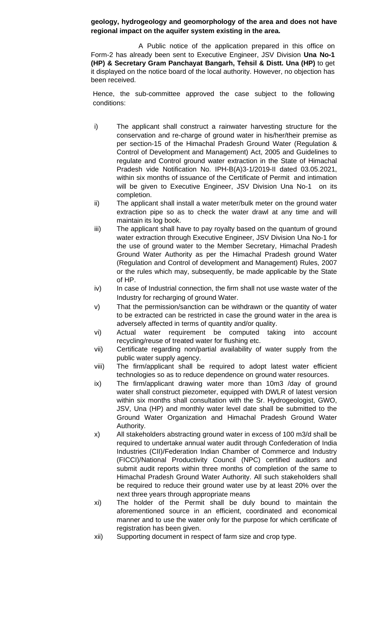# **geology, hydrogeology and geomorphology of the area and does not have regional impact on the aquifer system existing in the area.**

A Public notice of the application prepared in this office on Form-2 has already been sent to Executive Engineer, JSV Division **Una No-1 (HP) & Secretary Gram Panchayat Bangarh, Tehsil & Distt. Una (HP)** to get it displayed on the notice board of the local authority. However, no objection has been received.

- i) The applicant shall construct a rainwater harvesting structure for the conservation and re-charge of ground water in his/her/their premise as per section-15 of the Himachal Pradesh Ground Water (Regulation & Control of Development and Management) Act, 2005 and Guidelines to regulate and Control ground water extraction in the State of Himachal Pradesh vide Notification No. IPH-B(A)3-1/2019-II dated 03.05.2021, within six months of issuance of the Certificate of Permit and intimation will be given to Executive Engineer, JSV Division Una No-1 on its completion.
- ii) The applicant shall install a water meter/bulk meter on the ground water extraction pipe so as to check the water drawl at any time and will maintain its log book.
- iii) The applicant shall have to pay royalty based on the quantum of ground water extraction through Executive Engineer, JSV Division Una No-1 for the use of ground water to the Member Secretary, Himachal Pradesh Ground Water Authority as per the Himachal Pradesh ground Water (Regulation and Control of development and Management) Rules, 2007 or the rules which may, subsequently, be made applicable by the State of HP.
- iv) In case of Industrial connection, the firm shall not use waste water of the Industry for recharging of ground Water.
- v) That the permission/sanction can be withdrawn or the quantity of water to be extracted can be restricted in case the ground water in the area is adversely affected in terms of quantity and/or quality.
- vi) Actual water requirement be computed taking into account recycling/reuse of treated water for flushing etc.
- vii) Certificate regarding non/partial availability of water supply from the public water supply agency.
- viii) The firm/applicant shall be required to adopt latest water efficient technologies so as to reduce dependence on ground water resources.
- ix) The firm/applicant drawing water more than 10m3 /day of ground water shall construct piezometer, equipped with DWLR of latest version within six months shall consultation with the Sr. Hydrogeologist, GWO, JSV, Una (HP) and monthly water level date shall be submitted to the Ground Water Organization and Himachal Pradesh Ground Water Authority.
- x) All stakeholders abstracting ground water in excess of 100 m3/d shall be required to undertake annual water audit through Confederation of India Industries (CII)/Federation Indian Chamber of Commerce and Industry (FICCI)/National Productivity Council (NPC) certified auditors and submit audit reports within three months of completion of the same to Himachal Pradesh Ground Water Authority. All such stakeholders shall be required to reduce their ground water use by at least 20% over the next three years through appropriate means
- xi) The holder of the Permit shall be duly bound to maintain the aforementioned source in an efficient, coordinated and economical manner and to use the water only for the purpose for which certificate of registration has been given.
- xii) Supporting document in respect of farm size and crop type.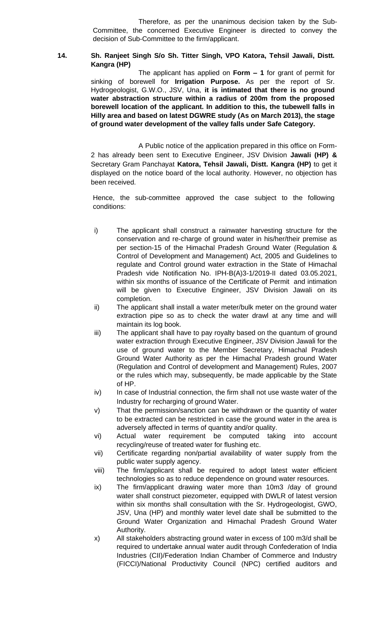#### **14. Sh. Ranjeet Singh S/o Sh. Titter Singh, VPO Katora, Tehsil Jawali, Distt. Kangra (HP)**

The applicant has applied on **Form – 1** for grant of permit for sinking of borewell for **Irrigation Purpose.** As per the report of Sr. Hydrogeologist, G.W.O., JSV, Una, **it is intimated that there is no ground water abstraction structure within a radius of 200m from the proposed borewell location of the applicant. In addition to this, the tubewell falls in Hilly area and based on latest DGWRE study (As on March 2013), the stage of ground water development of the valley falls under Safe Category.** 

A Public notice of the application prepared in this office on Form-2 has already been sent to Executive Engineer, JSV Division **Jawali (HP) &**  Secretary Gram Panchayat **Katora, Tehsil Jawali, Distt. Kangra (HP)** to get it displayed on the notice board of the local authority. However, no objection has been received.

- i) The applicant shall construct a rainwater harvesting structure for the conservation and re-charge of ground water in his/her/their premise as per section-15 of the Himachal Pradesh Ground Water (Regulation & Control of Development and Management) Act, 2005 and Guidelines to regulate and Control ground water extraction in the State of Himachal Pradesh vide Notification No. IPH-B(A)3-1/2019-II dated 03.05.2021, within six months of issuance of the Certificate of Permit and intimation will be given to Executive Engineer, JSV Division Jawali on its completion.
- ii) The applicant shall install a water meter/bulk meter on the ground water extraction pipe so as to check the water drawl at any time and will maintain its log book.
- iii) The applicant shall have to pay royalty based on the quantum of ground water extraction through Executive Engineer, JSV Division Jawali for the use of ground water to the Member Secretary, Himachal Pradesh Ground Water Authority as per the Himachal Pradesh ground Water (Regulation and Control of development and Management) Rules, 2007 or the rules which may, subsequently, be made applicable by the State of HP.
- iv) In case of Industrial connection, the firm shall not use waste water of the Industry for recharging of ground Water.
- v) That the permission/sanction can be withdrawn or the quantity of water to be extracted can be restricted in case the ground water in the area is adversely affected in terms of quantity and/or quality.
- vi) Actual water requirement be computed taking into account recycling/reuse of treated water for flushing etc.
- vii) Certificate regarding non/partial availability of water supply from the public water supply agency.
- viii) The firm/applicant shall be required to adopt latest water efficient technologies so as to reduce dependence on ground water resources.
- ix) The firm/applicant drawing water more than 10m3 /day of ground water shall construct piezometer, equipped with DWLR of latest version within six months shall consultation with the Sr. Hydrogeologist, GWO, JSV, Una (HP) and monthly water level date shall be submitted to the Ground Water Organization and Himachal Pradesh Ground Water Authority.
- x) All stakeholders abstracting ground water in excess of 100 m3/d shall be required to undertake annual water audit through Confederation of India Industries (CII)/Federation Indian Chamber of Commerce and Industry (FICCI)/National Productivity Council (NPC) certified auditors and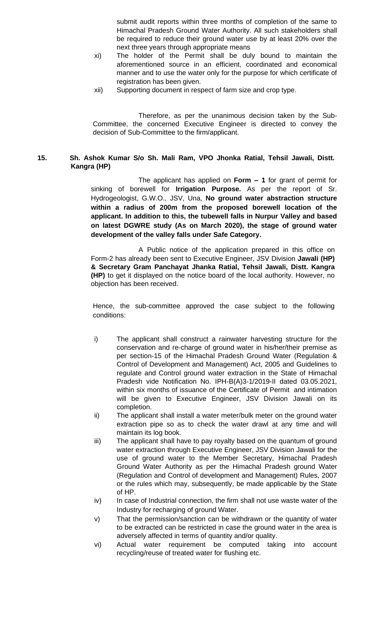submit audit reports within three months of completion of the same to Himachal Pradesh Ground Water Authority. All such stakeholders shall be required to reduce their ground water use by at least 20% over the next three years through appropriate means

- xi) The holder of the Permit shall be duly bound to maintain the aforementioned source in an efficient, coordinated and economical manner and to use the water only for the purpose for which certificate of registration has been given.
- xii) Supporting document in respect of farm size and crop type.

Therefore, as per the unanimous decision taken by the Sub-Committee, the concerned Executive Engineer is directed to convey the decision of Sub-Committee to the firm/applicant.

# **15. Sh. Ashok Kumar S/o Sh. Mali Ram, VPO Jhonka Ratial, Tehsil Jawali, Distt. Kangra (HP)**

The applicant has applied on **Form – 1** for grant of permit for sinking of borewell for **Irrigation Purpose.** As per the report of Sr. Hydrogeologist, G.W.O., JSV, Una, **No ground water abstraction structure within a radius of 200m from the proposed borewell location of the applicant. In addition to this, the tubewell falls in Nurpur Valley and based on latest DGWRE study (As on March 2020), the stage of ground water development of the valley falls under Safe Category.**

A Public notice of the application prepared in this office on Form-2 has already been sent to Executive Engineer, JSV Division **Jawali (HP) & Secretary Gram Panchayat Jhanka Ratial, Tehsil Jawali, Distt. Kangra (HP)** to get it displayed on the notice board of the local authority. However, no objection has been received.

- i) The applicant shall construct a rainwater harvesting structure for the conservation and re-charge of ground water in his/her/their premise as per section-15 of the Himachal Pradesh Ground Water (Regulation & Control of Development and Management) Act, 2005 and Guidelines to regulate and Control ground water extraction in the State of Himachal Pradesh vide Notification No. IPH-B(A)3-1/2019-II dated 03.05.2021, within six months of issuance of the Certificate of Permit and intimation will be given to Executive Engineer, JSV Division Jawali on its completion.
- ii) The applicant shall install a water meter/bulk meter on the ground water extraction pipe so as to check the water drawl at any time and will maintain its log book.
- iii) The applicant shall have to pay royalty based on the quantum of ground water extraction through Executive Engineer, JSV Division Jawali for the use of ground water to the Member Secretary, Himachal Pradesh Ground Water Authority as per the Himachal Pradesh ground Water (Regulation and Control of development and Management) Rules, 2007 or the rules which may, subsequently, be made applicable by the State of HP.
- iv) In case of Industrial connection, the firm shall not use waste water of the Industry for recharging of ground Water.
- v) That the permission/sanction can be withdrawn or the quantity of water to be extracted can be restricted in case the ground water in the area is adversely affected in terms of quantity and/or quality.
- vi) Actual water requirement be computed taking into account recycling/reuse of treated water for flushing etc.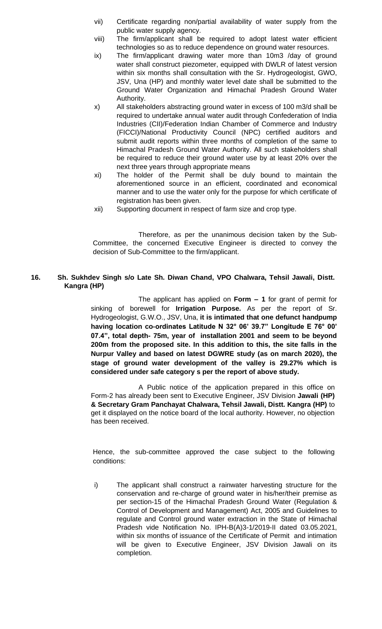- vii) Certificate regarding non/partial availability of water supply from the public water supply agency.
- viii) The firm/applicant shall be required to adopt latest water efficient technologies so as to reduce dependence on ground water resources.
- ix) The firm/applicant drawing water more than 10m3 /day of ground water shall construct piezometer, equipped with DWLR of latest version within six months shall consultation with the Sr. Hydrogeologist, GWO, JSV, Una (HP) and monthly water level date shall be submitted to the Ground Water Organization and Himachal Pradesh Ground Water Authority.
- x) All stakeholders abstracting ground water in excess of 100 m3/d shall be required to undertake annual water audit through Confederation of India Industries (CII)/Federation Indian Chamber of Commerce and Industry (FICCI)/National Productivity Council (NPC) certified auditors and submit audit reports within three months of completion of the same to Himachal Pradesh Ground Water Authority. All such stakeholders shall be required to reduce their ground water use by at least 20% over the next three years through appropriate means
- xi) The holder of the Permit shall be duly bound to maintain the aforementioned source in an efficient, coordinated and economical manner and to use the water only for the purpose for which certificate of registration has been given.
- xii) Supporting document in respect of farm size and crop type.

# **16. Sh. Sukhdev Singh s/o Late Sh. Diwan Chand, VPO Chalwara, Tehsil Jawali, Distt. Kangra (HP)**

The applicant has applied on **Form – 1** for grant of permit for sinking of borewell for **Irrigation Purpose.** As per the report of Sr. Hydrogeologist, G.W.O., JSV, Una, **it is intimated that one defunct handpump having location co-ordinates Latitude N 32° 06' 39.7" Longitude E 76° 00' 07.4", total depth- 75m, year of installation 2001 and seem to be beyond 200m from the proposed site. In this addition to this, the site falls in the Nurpur Valley and based on latest DGWRE study (as on march 2020), the stage of ground water development of the valley is 29.27% which is considered under safe category s per the report of above study.**

A Public notice of the application prepared in this office on Form-2 has already been sent to Executive Engineer, JSV Division **Jawali (HP) & Secretary Gram Panchayat Chalwara, Tehsil Jawali, Distt. Kangra (HP)** to get it displayed on the notice board of the local authority. However, no objection has been received.

Hence, the sub-committee approved the case subject to the following conditions:

i) The applicant shall construct a rainwater harvesting structure for the conservation and re-charge of ground water in his/her/their premise as per section-15 of the Himachal Pradesh Ground Water (Regulation & Control of Development and Management) Act, 2005 and Guidelines to regulate and Control ground water extraction in the State of Himachal Pradesh vide Notification No. IPH-B(A)3-1/2019-II dated 03.05.2021, within six months of issuance of the Certificate of Permit and intimation will be given to Executive Engineer, JSV Division Jawali on its completion.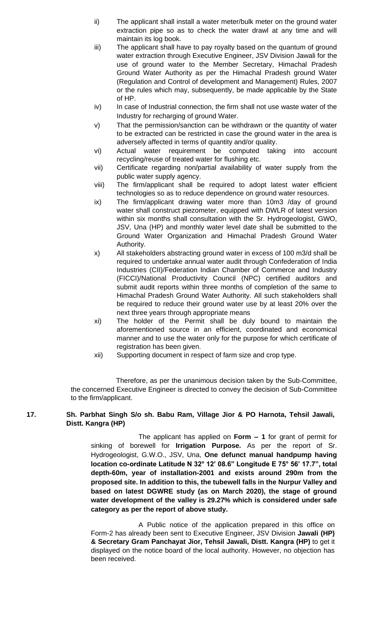- ii) The applicant shall install a water meter/bulk meter on the ground water extraction pipe so as to check the water drawl at any time and will maintain its log book.
- iii) The applicant shall have to pay royalty based on the quantum of ground water extraction through Executive Engineer, JSV Division Jawali for the use of ground water to the Member Secretary, Himachal Pradesh Ground Water Authority as per the Himachal Pradesh ground Water (Regulation and Control of development and Management) Rules, 2007 or the rules which may, subsequently, be made applicable by the State of HP.
- iv) In case of Industrial connection, the firm shall not use waste water of the Industry for recharging of ground Water.
- v) That the permission/sanction can be withdrawn or the quantity of water to be extracted can be restricted in case the ground water in the area is adversely affected in terms of quantity and/or quality.
- vi) Actual water requirement be computed taking into account recycling/reuse of treated water for flushing etc.
- vii) Certificate regarding non/partial availability of water supply from the public water supply agency.
- viii) The firm/applicant shall be required to adopt latest water efficient technologies so as to reduce dependence on ground water resources.
- ix) The firm/applicant drawing water more than 10m3 /day of ground water shall construct piezometer, equipped with DWLR of latest version within six months shall consultation with the Sr. Hydrogeologist, GWO, JSV, Una (HP) and monthly water level date shall be submitted to the Ground Water Organization and Himachal Pradesh Ground Water Authority.
- x) All stakeholders abstracting ground water in excess of 100 m3/d shall be required to undertake annual water audit through Confederation of India Industries (CII)/Federation Indian Chamber of Commerce and Industry (FICCI)/National Productivity Council (NPC) certified auditors and submit audit reports within three months of completion of the same to Himachal Pradesh Ground Water Authority. All such stakeholders shall be required to reduce their ground water use by at least 20% over the next three years through appropriate means
- xi) The holder of the Permit shall be duly bound to maintain the aforementioned source in an efficient, coordinated and economical manner and to use the water only for the purpose for which certificate of registration has been given.
- xii) Supporting document in respect of farm size and crop type.

#### **17. Sh. Parbhat Singh S/o sh. Babu Ram, Village Jior & PO Harnota, Tehsil Jawali, Distt. Kangra (HP)**

The applicant has applied on **Form – 1** for grant of permit for sinking of borewell for **Irrigation Purpose.** As per the report of Sr. Hydrogeologist, G.W.O., JSV, Una, **One defunct manual handpump having location co-ordinate Latitude N 32° 12' 08.6" Longitude E 75° 56' 17.7", total depth-60m, year of installation-2001 and exists around 290m from the proposed site. In addition to this, the tubewell falls in the Nurpur Valley and based on latest DGWRE study (as on March 2020), the stage of ground water development of the valley is 29.27% which is considered under safe category as per the report of above study.**

A Public notice of the application prepared in this office on Form-2 has already been sent to Executive Engineer, JSV Division **Jawali (HP) & Secretary Gram Panchayat Jior, Tehsil Jawali, Distt. Kangra (HP)** to get it displayed on the notice board of the local authority. However, no objection has been received.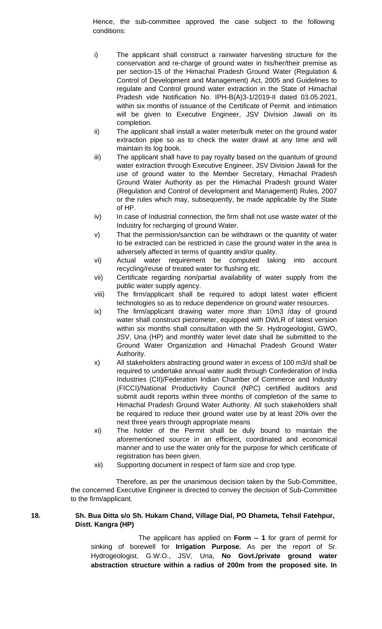Hence, the sub-committee approved the case subject to the following conditions:

- i) The applicant shall construct a rainwater harvesting structure for the conservation and re-charge of ground water in his/her/their premise as per section-15 of the Himachal Pradesh Ground Water (Regulation & Control of Development and Management) Act, 2005 and Guidelines to regulate and Control ground water extraction in the State of Himachal Pradesh vide Notification No. IPH-B(A)3-1/2019-II dated 03.05.2021, within six months of issuance of the Certificate of Permit and intimation will be given to Executive Engineer, JSV Division Jawali on its completion.
- ii) The applicant shall install a water meter/bulk meter on the ground water extraction pipe so as to check the water drawl at any time and will maintain its log book.
- iii) The applicant shall have to pay royalty based on the quantum of ground water extraction through Executive Engineer, JSV Division Jawali for the use of ground water to the Member Secretary, Himachal Pradesh Ground Water Authority as per the Himachal Pradesh ground Water (Regulation and Control of development and Management) Rules, 2007 or the rules which may, subsequently, be made applicable by the State of HP.
- iv) In case of Industrial connection, the firm shall not use waste water of the Industry for recharging of ground Water.
- v) That the permission/sanction can be withdrawn or the quantity of water to be extracted can be restricted in case the ground water in the area is adversely affected in terms of quantity and/or quality.
- vi) Actual water requirement be computed taking into account recycling/reuse of treated water for flushing etc.
- vii) Certificate regarding non/partial availability of water supply from the public water supply agency.
- viii) The firm/applicant shall be required to adopt latest water efficient technologies so as to reduce dependence on ground water resources.
- ix) The firm/applicant drawing water more than 10m3 /day of ground water shall construct piezometer, equipped with DWLR of latest version within six months shall consultation with the Sr. Hydrogeologist, GWO, JSV, Una (HP) and monthly water level date shall be submitted to the Ground Water Organization and Himachal Pradesh Ground Water Authority.
- x) All stakeholders abstracting ground water in excess of 100 m3/d shall be required to undertake annual water audit through Confederation of India Industries (CII)/Federation Indian Chamber of Commerce and Industry (FICCI)/National Productivity Council (NPC) certified auditors and submit audit reports within three months of completion of the same to Himachal Pradesh Ground Water Authority. All such stakeholders shall be required to reduce their ground water use by at least 20% over the next three years through appropriate means
- xi) The holder of the Permit shall be duly bound to maintain the aforementioned source in an efficient, coordinated and economical manner and to use the water only for the purpose for which certificate of registration has been given.
- xii) Supporting document in respect of farm size and crop type.

Therefore, as per the unanimous decision taken by the Sub-Committee, the concerned Executive Engineer is directed to convey the decision of Sub-Committee to the firm/applicant.

# **18. Sh. Bua Ditta s/o Sh. Hukam Chand, Village Dial, PO Dhameta, Tehsil Fatehpur, Distt. Kangra (HP)**

The applicant has applied on **Form – 1** for grant of permit for sinking of borewell for **Irrigation Purpose.** As per the report of Sr. Hydrogeologist, G.W.O., JSV, Una, **No Govt./private ground water abstraction structure within a radius of 200m from the proposed site. In**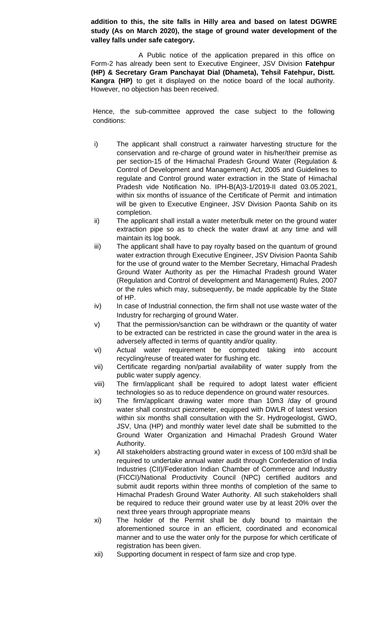**addition to this, the site falls in Hilly area and based on latest DGWRE study (As on March 2020), the stage of ground water development of the valley falls under safe category.** 

A Public notice of the application prepared in this office on Form-2 has already been sent to Executive Engineer, JSV Division **Fatehpur (HP) & Secretary Gram Panchayat Dial (Dhameta), Tehsil Fatehpur, Distt. Kangra (HP)** to get it displayed on the notice board of the local authority. However, no objection has been received.

- i) The applicant shall construct a rainwater harvesting structure for the conservation and re-charge of ground water in his/her/their premise as per section-15 of the Himachal Pradesh Ground Water (Regulation & Control of Development and Management) Act, 2005 and Guidelines to regulate and Control ground water extraction in the State of Himachal Pradesh vide Notification No. IPH-B(A)3-1/2019-II dated 03.05.2021, within six months of issuance of the Certificate of Permit and intimation will be given to Executive Engineer, JSV Division Paonta Sahib on its completion.
- ii) The applicant shall install a water meter/bulk meter on the ground water extraction pipe so as to check the water drawl at any time and will maintain its log book.
- iii) The applicant shall have to pay royalty based on the quantum of ground water extraction through Executive Engineer, JSV Division Paonta Sahib for the use of ground water to the Member Secretary, Himachal Pradesh Ground Water Authority as per the Himachal Pradesh ground Water (Regulation and Control of development and Management) Rules, 2007 or the rules which may, subsequently, be made applicable by the State of HP.
- iv) In case of Industrial connection, the firm shall not use waste water of the Industry for recharging of ground Water.
- v) That the permission/sanction can be withdrawn or the quantity of water to be extracted can be restricted in case the ground water in the area is adversely affected in terms of quantity and/or quality.
- vi) Actual water requirement be computed taking into account recycling/reuse of treated water for flushing etc.
- vii) Certificate regarding non/partial availability of water supply from the public water supply agency.
- viii) The firm/applicant shall be required to adopt latest water efficient technologies so as to reduce dependence on ground water resources.
- ix) The firm/applicant drawing water more than 10m3 /day of ground water shall construct piezometer, equipped with DWLR of latest version within six months shall consultation with the Sr. Hydrogeologist, GWO, JSV, Una (HP) and monthly water level date shall be submitted to the Ground Water Organization and Himachal Pradesh Ground Water Authority.
- x) All stakeholders abstracting ground water in excess of 100 m3/d shall be required to undertake annual water audit through Confederation of India Industries (CII)/Federation Indian Chamber of Commerce and Industry (FICCI)/National Productivity Council (NPC) certified auditors and submit audit reports within three months of completion of the same to Himachal Pradesh Ground Water Authority. All such stakeholders shall be required to reduce their ground water use by at least 20% over the next three years through appropriate means
- xi) The holder of the Permit shall be duly bound to maintain the aforementioned source in an efficient, coordinated and economical manner and to use the water only for the purpose for which certificate of registration has been given.
- xii) Supporting document in respect of farm size and crop type.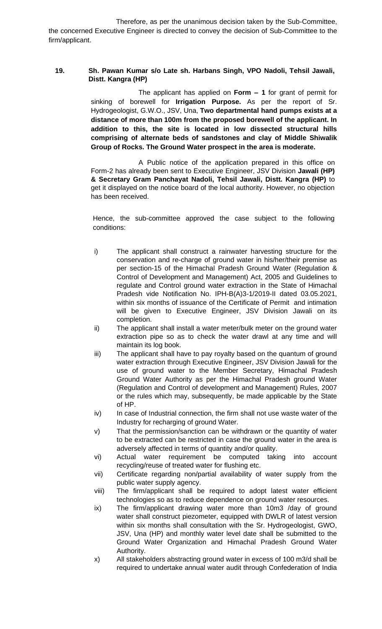## **19. Sh. Pawan Kumar s/o Late sh. Harbans Singh, VPO Nadoli, Tehsil Jawali, Distt. Kangra (HP)**

The applicant has applied on **Form – 1** for grant of permit for sinking of borewell for **Irrigation Purpose.** As per the report of Sr. Hydrogeologist, G.W.O., JSV, Una, **Two departmental hand pumps exists at a distance of more than 100m from the proposed borewell of the applicant. In addition to this, the site is located in low dissected structural hills comprising of alternate beds of sandstones and clay of Middle Shiwalik Group of Rocks. The Ground Water prospect in the area is moderate.** 

A Public notice of the application prepared in this office on Form-2 has already been sent to Executive Engineer, JSV Division **Jawali (HP) & Secretary Gram Panchayat Nadoli, Tehsil Jawali, Distt. Kangra (HP)** to get it displayed on the notice board of the local authority. However, no objection has been received.

- i) The applicant shall construct a rainwater harvesting structure for the conservation and re-charge of ground water in his/her/their premise as per section-15 of the Himachal Pradesh Ground Water (Regulation & Control of Development and Management) Act, 2005 and Guidelines to regulate and Control ground water extraction in the State of Himachal Pradesh vide Notification No. IPH-B(A)3-1/2019-II dated 03.05.2021, within six months of issuance of the Certificate of Permit and intimation will be given to Executive Engineer, JSV Division Jawali on its completion.
- ii) The applicant shall install a water meter/bulk meter on the ground water extraction pipe so as to check the water drawl at any time and will maintain its log book.
- iii) The applicant shall have to pay royalty based on the quantum of ground water extraction through Executive Engineer, JSV Division Jawali for the use of ground water to the Member Secretary, Himachal Pradesh Ground Water Authority as per the Himachal Pradesh ground Water (Regulation and Control of development and Management) Rules, 2007 or the rules which may, subsequently, be made applicable by the State of HP.
- iv) In case of Industrial connection, the firm shall not use waste water of the Industry for recharging of ground Water.
- v) That the permission/sanction can be withdrawn or the quantity of water to be extracted can be restricted in case the ground water in the area is adversely affected in terms of quantity and/or quality.
- vi) Actual water requirement be computed taking into account recycling/reuse of treated water for flushing etc.
- vii) Certificate regarding non/partial availability of water supply from the public water supply agency.
- viii) The firm/applicant shall be required to adopt latest water efficient technologies so as to reduce dependence on ground water resources.
- ix) The firm/applicant drawing water more than 10m3 /day of ground water shall construct piezometer, equipped with DWLR of latest version within six months shall consultation with the Sr. Hydrogeologist, GWO, JSV, Una (HP) and monthly water level date shall be submitted to the Ground Water Organization and Himachal Pradesh Ground Water Authority.
- x) All stakeholders abstracting ground water in excess of 100 m3/d shall be required to undertake annual water audit through Confederation of India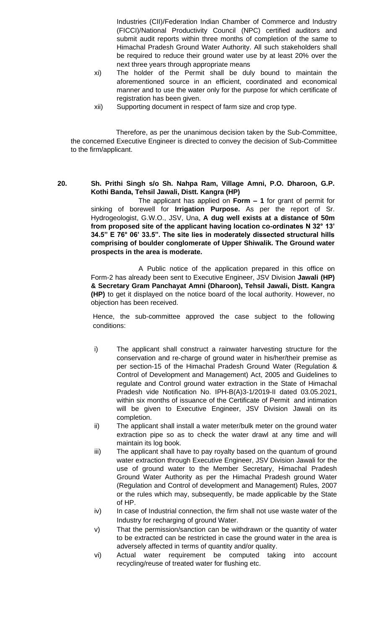Industries (CII)/Federation Indian Chamber of Commerce and Industry (FICCI)/National Productivity Council (NPC) certified auditors and submit audit reports within three months of completion of the same to Himachal Pradesh Ground Water Authority. All such stakeholders shall be required to reduce their ground water use by at least 20% over the next three years through appropriate means

- xi) The holder of the Permit shall be duly bound to maintain the aforementioned source in an efficient, coordinated and economical manner and to use the water only for the purpose for which certificate of registration has been given.
- xii) Supporting document in respect of farm size and crop type.

Therefore, as per the unanimous decision taken by the Sub-Committee, the concerned Executive Engineer is directed to convey the decision of Sub-Committee to the firm/applicant.

**20. Sh. Prithi Singh s/o Sh. Nahpa Ram, Village Amni, P.O. Dharoon, G.P. Kothi Banda, Tehsil Jawali, Distt. Kangra (HP)**

The applicant has applied on **Form – 1** for grant of permit for sinking of borewell for **Irrigation Purpose.** As per the report of Sr. Hydrogeologist, G.W.O., JSV, Una, **A dug well exists at a distance of 50m from proposed site of the applicant having location co-ordinates N 32° 13' 34.5" E 76° 06' 33.5". The site lies in moderately dissected structural hills comprising of boulder conglomerate of Upper Shiwalik. The Ground water prospects in the area is moderate.** 

A Public notice of the application prepared in this office on Form-2 has already been sent to Executive Engineer, JSV Division **Jawali (HP) & Secretary Gram Panchayat Amni (Dharoon), Tehsil Jawali, Distt. Kangra (HP)** to get it displayed on the notice board of the local authority. However, no objection has been received.

- i) The applicant shall construct a rainwater harvesting structure for the conservation and re-charge of ground water in his/her/their premise as per section-15 of the Himachal Pradesh Ground Water (Regulation & Control of Development and Management) Act, 2005 and Guidelines to regulate and Control ground water extraction in the State of Himachal Pradesh vide Notification No. IPH-B(A)3-1/2019-II dated 03.05.2021, within six months of issuance of the Certificate of Permit and intimation will be given to Executive Engineer, JSV Division Jawali on its completion.
- ii) The applicant shall install a water meter/bulk meter on the ground water extraction pipe so as to check the water drawl at any time and will maintain its log book.
- iii) The applicant shall have to pay royalty based on the quantum of ground water extraction through Executive Engineer, JSV Division Jawali for the use of ground water to the Member Secretary, Himachal Pradesh Ground Water Authority as per the Himachal Pradesh ground Water (Regulation and Control of development and Management) Rules, 2007 or the rules which may, subsequently, be made applicable by the State of HP.
- iv) In case of Industrial connection, the firm shall not use waste water of the Industry for recharging of ground Water.
- v) That the permission/sanction can be withdrawn or the quantity of water to be extracted can be restricted in case the ground water in the area is adversely affected in terms of quantity and/or quality.
- vi) Actual water requirement be computed taking into account recycling/reuse of treated water for flushing etc.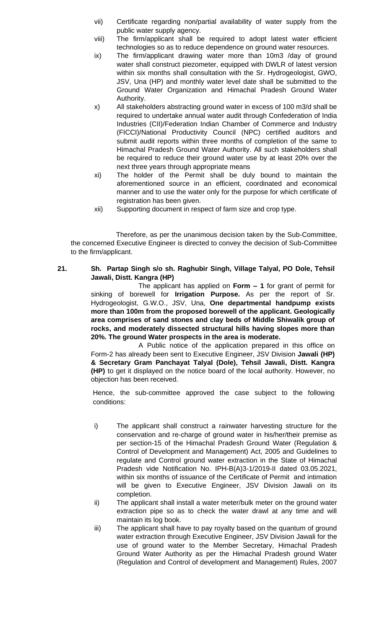- vii) Certificate regarding non/partial availability of water supply from the public water supply agency.
- viii) The firm/applicant shall be required to adopt latest water efficient technologies so as to reduce dependence on ground water resources.
- ix) The firm/applicant drawing water more than 10m3 /day of ground water shall construct piezometer, equipped with DWLR of latest version within six months shall consultation with the Sr. Hydrogeologist, GWO, JSV, Una (HP) and monthly water level date shall be submitted to the Ground Water Organization and Himachal Pradesh Ground Water Authority.
- x) All stakeholders abstracting ground water in excess of 100 m3/d shall be required to undertake annual water audit through Confederation of India Industries (CII)/Federation Indian Chamber of Commerce and Industry (FICCI)/National Productivity Council (NPC) certified auditors and submit audit reports within three months of completion of the same to Himachal Pradesh Ground Water Authority. All such stakeholders shall be required to reduce their ground water use by at least 20% over the next three years through appropriate means
- xi) The holder of the Permit shall be duly bound to maintain the aforementioned source in an efficient, coordinated and economical manner and to use the water only for the purpose for which certificate of registration has been given.
- xii) Supporting document in respect of farm size and crop type.

**21. Sh. Partap Singh s/o sh. Raghubir Singh, Village Talyal, PO Dole, Tehsil Jawali, Distt. Kangra (HP)**

> The applicant has applied on **Form – 1** for grant of permit for sinking of borewell for **Irrigation Purpose.** As per the report of Sr. Hydrogeologist, G.W.O., JSV, Una, **One departmental handpump exists more than 100m from the proposed borewell of the applicant. Geologically area comprises of sand stones and clay beds of Middle Shiwalik group of rocks, and moderately dissected structural hills having slopes more than 20%. The ground Water prospects in the area is moderate.**

> A Public notice of the application prepared in this office on Form-2 has already been sent to Executive Engineer, JSV Division **Jawali (HP) & Secretary Gram Panchayat Talyal (Dole), Tehsil Jawali, Distt. Kangra (HP)** to get it displayed on the notice board of the local authority. However, no objection has been received.

- i) The applicant shall construct a rainwater harvesting structure for the conservation and re-charge of ground water in his/her/their premise as per section-15 of the Himachal Pradesh Ground Water (Regulation & Control of Development and Management) Act, 2005 and Guidelines to regulate and Control ground water extraction in the State of Himachal Pradesh vide Notification No. IPH-B(A)3-1/2019-II dated 03.05.2021, within six months of issuance of the Certificate of Permit and intimation will be given to Executive Engineer, JSV Division Jawali on its completion.
- ii) The applicant shall install a water meter/bulk meter on the ground water extraction pipe so as to check the water drawl at any time and will maintain its log book.
- iii) The applicant shall have to pay royalty based on the quantum of ground water extraction through Executive Engineer, JSV Division Jawali for the use of ground water to the Member Secretary, Himachal Pradesh Ground Water Authority as per the Himachal Pradesh ground Water (Regulation and Control of development and Management) Rules, 2007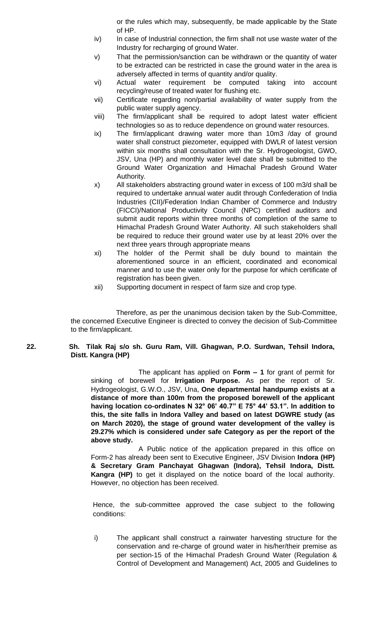or the rules which may, subsequently, be made applicable by the State of HP.

- iv) In case of Industrial connection, the firm shall not use waste water of the Industry for recharging of ground Water.
- v) That the permission/sanction can be withdrawn or the quantity of water to be extracted can be restricted in case the ground water in the area is adversely affected in terms of quantity and/or quality.
- vi) Actual water requirement be computed taking into account recycling/reuse of treated water for flushing etc.
- vii) Certificate regarding non/partial availability of water supply from the public water supply agency.
- viii) The firm/applicant shall be required to adopt latest water efficient technologies so as to reduce dependence on ground water resources.
- ix) The firm/applicant drawing water more than 10m3 /day of ground water shall construct piezometer, equipped with DWLR of latest version within six months shall consultation with the Sr. Hydrogeologist, GWO, JSV, Una (HP) and monthly water level date shall be submitted to the Ground Water Organization and Himachal Pradesh Ground Water Authority.
- x) All stakeholders abstracting ground water in excess of 100 m3/d shall be required to undertake annual water audit through Confederation of India Industries (CII)/Federation Indian Chamber of Commerce and Industry (FICCI)/National Productivity Council (NPC) certified auditors and submit audit reports within three months of completion of the same to Himachal Pradesh Ground Water Authority. All such stakeholders shall be required to reduce their ground water use by at least 20% over the next three years through appropriate means
- xi) The holder of the Permit shall be duly bound to maintain the aforementioned source in an efficient, coordinated and economical manner and to use the water only for the purpose for which certificate of registration has been given.
- xii) Supporting document in respect of farm size and crop type.

Therefore, as per the unanimous decision taken by the Sub-Committee, the concerned Executive Engineer is directed to convey the decision of Sub-Committee to the firm/applicant.

# **22. Sh. Tilak Raj s/o sh. Guru Ram, Vill. Ghagwan, P.O. Surdwan, Tehsil Indora, Distt. Kangra (HP)**

The applicant has applied on **Form – 1** for grant of permit for sinking of borewell for **Irrigation Purpose.** As per the report of Sr. Hydrogeologist, G.W.O., JSV, Una, **One departmental handpump exists at a distance of more than 100m from the proposed borewell of the applicant having location co-ordinates N 32° 06' 40.7" E 75° 44' 53.1". In addition to this, the site falls in Indora Valley and based on latest DGWRE study (as on March 2020), the stage of ground water development of the valley is 29.27% which is considered under safe Category as per the report of the above study.**

A Public notice of the application prepared in this office on Form-2 has already been sent to Executive Engineer, JSV Division **Indora (HP) & Secretary Gram Panchayat Ghagwan (Indora), Tehsil Indora, Distt. Kangra (HP)** to get it displayed on the notice board of the local authority. However, no objection has been received.

Hence, the sub-committee approved the case subject to the following conditions:

i) The applicant shall construct a rainwater harvesting structure for the conservation and re-charge of ground water in his/her/their premise as per section-15 of the Himachal Pradesh Ground Water (Regulation & Control of Development and Management) Act, 2005 and Guidelines to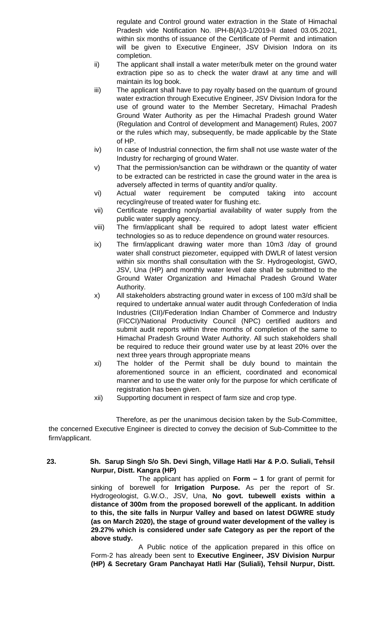regulate and Control ground water extraction in the State of Himachal Pradesh vide Notification No. IPH-B(A)3-1/2019-II dated 03.05.2021, within six months of issuance of the Certificate of Permit and intimation will be given to Executive Engineer, JSV Division Indora on its completion.

- ii) The applicant shall install a water meter/bulk meter on the ground water extraction pipe so as to check the water drawl at any time and will maintain its log book.
- iii) The applicant shall have to pay royalty based on the quantum of ground water extraction through Executive Engineer, JSV Division Indora for the use of ground water to the Member Secretary, Himachal Pradesh Ground Water Authority as per the Himachal Pradesh ground Water (Regulation and Control of development and Management) Rules, 2007 or the rules which may, subsequently, be made applicable by the State of HP.
- iv) In case of Industrial connection, the firm shall not use waste water of the Industry for recharging of ground Water.
- v) That the permission/sanction can be withdrawn or the quantity of water to be extracted can be restricted in case the ground water in the area is adversely affected in terms of quantity and/or quality.
- vi) Actual water requirement be computed taking into account recycling/reuse of treated water for flushing etc.
- vii) Certificate regarding non/partial availability of water supply from the public water supply agency.
- viii) The firm/applicant shall be required to adopt latest water efficient technologies so as to reduce dependence on ground water resources.
- ix) The firm/applicant drawing water more than 10m3 /day of ground water shall construct piezometer, equipped with DWLR of latest version within six months shall consultation with the Sr. Hydrogeologist, GWO, JSV, Una (HP) and monthly water level date shall be submitted to the Ground Water Organization and Himachal Pradesh Ground Water Authority.
- x) All stakeholders abstracting ground water in excess of 100 m3/d shall be required to undertake annual water audit through Confederation of India Industries (CII)/Federation Indian Chamber of Commerce and Industry (FICCI)/National Productivity Council (NPC) certified auditors and submit audit reports within three months of completion of the same to Himachal Pradesh Ground Water Authority. All such stakeholders shall be required to reduce their ground water use by at least 20% over the next three years through appropriate means
- xi) The holder of the Permit shall be duly bound to maintain the aforementioned source in an efficient, coordinated and economical manner and to use the water only for the purpose for which certificate of registration has been given.
- xii) Supporting document in respect of farm size and crop type.

Therefore, as per the unanimous decision taken by the Sub-Committee, the concerned Executive Engineer is directed to convey the decision of Sub-Committee to the firm/applicant.

**23. Sh. Sarup Singh S/o Sh. Devi Singh, Village Hatli Har & P.O. Suliali, Tehsil Nurpur, Distt. Kangra (HP)**

The applicant has applied on **Form – 1** for grant of permit for sinking of borewell for **Irrigation Purpose.** As per the report of Sr. Hydrogeologist, G.W.O., JSV, Una, **No govt. tubewell exists within a distance of 300m from the proposed borewell of the applicant. In addition to this, the site falls in Nurpur Valley and based on latest DGWRE study (as on March 2020), the stage of ground water development of the valley is 29.27% which is considered under safe Category as per the report of the above study.**

A Public notice of the application prepared in this office on Form-2 has already been sent to **Executive Engineer, JSV Division Nurpur (HP) & Secretary Gram Panchayat Hatli Har (Suliali), Tehsil Nurpur, Distt.**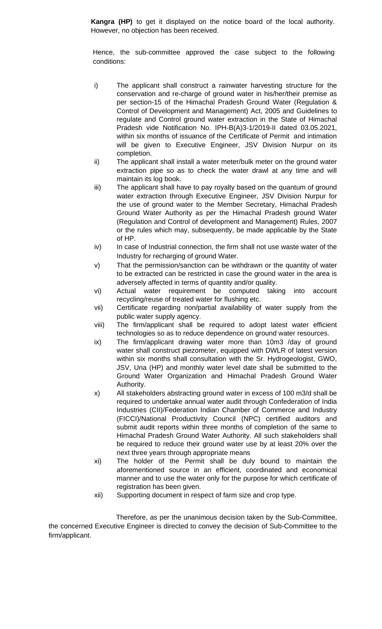**Kangra (HP)** to get it displayed on the notice board of the local authority. However, no objection has been received.

Hence, the sub-committee approved the case subject to the following conditions:

- i) The applicant shall construct a rainwater harvesting structure for the conservation and re-charge of ground water in his/her/their premise as per section-15 of the Himachal Pradesh Ground Water (Regulation & Control of Development and Management) Act, 2005 and Guidelines to regulate and Control ground water extraction in the State of Himachal Pradesh vide Notification No. IPH-B(A)3-1/2019-II dated 03.05.2021, within six months of issuance of the Certificate of Permit and intimation will be given to Executive Engineer, JSV Division Nurpur on its completion.
- ii) The applicant shall install a water meter/bulk meter on the ground water extraction pipe so as to check the water drawl at any time and will maintain its log book.
- iii) The applicant shall have to pay royalty based on the quantum of ground water extraction through Executive Engineer, JSV Division Nurpur for the use of ground water to the Member Secretary, Himachal Pradesh Ground Water Authority as per the Himachal Pradesh ground Water (Regulation and Control of development and Management) Rules, 2007 or the rules which may, subsequently, be made applicable by the State of HP.
- iv) In case of Industrial connection, the firm shall not use waste water of the Industry for recharging of ground Water.
- v) That the permission/sanction can be withdrawn or the quantity of water to be extracted can be restricted in case the ground water in the area is adversely affected in terms of quantity and/or quality.
- vi) Actual water requirement be computed taking into account recycling/reuse of treated water for flushing etc.
- vii) Certificate regarding non/partial availability of water supply from the public water supply agency.
- viii) The firm/applicant shall be required to adopt latest water efficient technologies so as to reduce dependence on ground water resources.
- ix) The firm/applicant drawing water more than 10m3 /day of ground water shall construct piezometer, equipped with DWLR of latest version within six months shall consultation with the Sr. Hydrogeologist, GWO, JSV, Una (HP) and monthly water level date shall be submitted to the Ground Water Organization and Himachal Pradesh Ground Water Authority.
- x) All stakeholders abstracting ground water in excess of 100 m3/d shall be required to undertake annual water audit through Confederation of India Industries (CII)/Federation Indian Chamber of Commerce and Industry (FICCI)/National Productivity Council (NPC) certified auditors and submit audit reports within three months of completion of the same to Himachal Pradesh Ground Water Authority. All such stakeholders shall be required to reduce their ground water use by at least 20% over the next three years through appropriate means
- xi) The holder of the Permit shall be duly bound to maintain the aforementioned source in an efficient, coordinated and economical manner and to use the water only for the purpose for which certificate of registration has been given.
- xii) Supporting document in respect of farm size and crop type.

Therefore, as per the unanimous decision taken by the Sub-Committee, the concerned Executive Engineer is directed to convey the decision of Sub-Committee to the firm/applicant.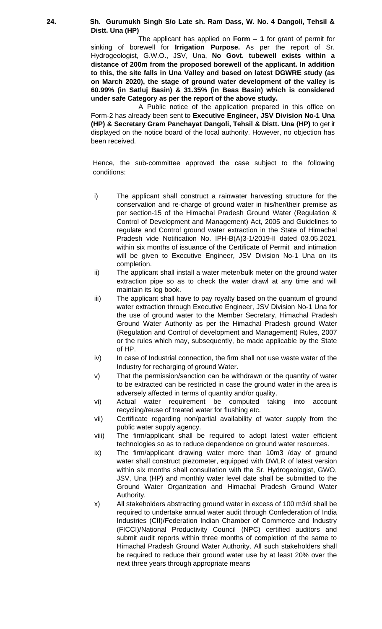#### **24. Sh. Gurumukh Singh S/o Late sh. Ram Dass, W. No. 4 Dangoli, Tehsil & Distt. Una (HP)**

The applicant has applied on **Form – 1** for grant of permit for sinking of borewell for **Irrigation Purpose.** As per the report of Sr. Hydrogeologist, G.W.O., JSV, Una, **No Govt. tubewell exists within a distance of 200m from the proposed borewell of the applicant. In addition to this, the site falls in Una Valley and based on latest DGWRE study (as on March 2020), the stage of ground water development of the valley is 60.99% (in Satluj Basin) & 31.35% (in Beas Basin) which is considered under safe Category as per the report of the above study.**

A Public notice of the application prepared in this office on Form-2 has already been sent to **Executive Engineer, JSV Division No-1 Una (HP) & Secretary Gram Panchayat Dangoli, Tehsil & Distt. Una (HP)** to get it displayed on the notice board of the local authority. However, no objection has been received.

- i) The applicant shall construct a rainwater harvesting structure for the conservation and re-charge of ground water in his/her/their premise as per section-15 of the Himachal Pradesh Ground Water (Regulation & Control of Development and Management) Act, 2005 and Guidelines to regulate and Control ground water extraction in the State of Himachal Pradesh vide Notification No. IPH-B(A)3-1/2019-II dated 03.05.2021, within six months of issuance of the Certificate of Permit and intimation will be given to Executive Engineer, JSV Division No-1 Una on its completion.
- ii) The applicant shall install a water meter/bulk meter on the ground water extraction pipe so as to check the water drawl at any time and will maintain its log book.
- iii) The applicant shall have to pay royalty based on the quantum of ground water extraction through Executive Engineer, JSV Division No-1 Una for the use of ground water to the Member Secretary, Himachal Pradesh Ground Water Authority as per the Himachal Pradesh ground Water (Regulation and Control of development and Management) Rules, 2007 or the rules which may, subsequently, be made applicable by the State of HP.
- iv) In case of Industrial connection, the firm shall not use waste water of the Industry for recharging of ground Water.
- v) That the permission/sanction can be withdrawn or the quantity of water to be extracted can be restricted in case the ground water in the area is adversely affected in terms of quantity and/or quality.
- vi) Actual water requirement be computed taking into account recycling/reuse of treated water for flushing etc.
- vii) Certificate regarding non/partial availability of water supply from the public water supply agency.
- viii) The firm/applicant shall be required to adopt latest water efficient technologies so as to reduce dependence on ground water resources.
- ix) The firm/applicant drawing water more than 10m3 /day of ground water shall construct piezometer, equipped with DWLR of latest version within six months shall consultation with the Sr. Hydrogeologist, GWO, JSV, Una (HP) and monthly water level date shall be submitted to the Ground Water Organization and Himachal Pradesh Ground Water Authority.
- x) All stakeholders abstracting ground water in excess of 100 m3/d shall be required to undertake annual water audit through Confederation of India Industries (CII)/Federation Indian Chamber of Commerce and Industry (FICCI)/National Productivity Council (NPC) certified auditors and submit audit reports within three months of completion of the same to Himachal Pradesh Ground Water Authority. All such stakeholders shall be required to reduce their ground water use by at least 20% over the next three years through appropriate means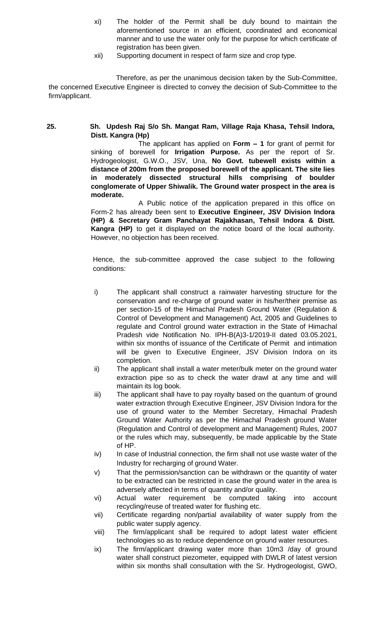- xi) The holder of the Permit shall be duly bound to maintain the aforementioned source in an efficient, coordinated and economical manner and to use the water only for the purpose for which certificate of registration has been given.
- xii) Supporting document in respect of farm size and crop type.

# **25. Sh. Updesh Raj S/o Sh. Mangat Ram, Village Raja Khasa, Tehsil Indora, Distt. Kangra (Hp)**

The applicant has applied on **Form – 1** for grant of permit for sinking of borewell for **Irrigation Purpose.** As per the report of Sr. Hydrogeologist, G.W.O., JSV, Una, **No Govt. tubewell exists within a distance of 200m from the proposed borewell of the applicant. The site lies in moderately dissected structural hills comprising of boulder conglomerate of Upper Shiwalik. The Ground water prospect in the area is moderate.** 

A Public notice of the application prepared in this office on Form-2 has already been sent to **Executive Engineer, JSV Division Indora (HP) & Secretary Gram Panchayat Rajakhasan, Tehsil Indora & Distt. Kangra (HP)** to get it displayed on the notice board of the local authority. However, no objection has been received.

- i) The applicant shall construct a rainwater harvesting structure for the conservation and re-charge of ground water in his/her/their premise as per section-15 of the Himachal Pradesh Ground Water (Regulation & Control of Development and Management) Act, 2005 and Guidelines to regulate and Control ground water extraction in the State of Himachal Pradesh vide Notification No. IPH-B(A)3-1/2019-II dated 03.05.2021, within six months of issuance of the Certificate of Permit and intimation will be given to Executive Engineer, JSV Division Indora on its completion.
- ii) The applicant shall install a water meter/bulk meter on the ground water extraction pipe so as to check the water drawl at any time and will maintain its log book.
- iii) The applicant shall have to pay royalty based on the quantum of ground water extraction through Executive Engineer, JSV Division Indora for the use of ground water to the Member Secretary, Himachal Pradesh Ground Water Authority as per the Himachal Pradesh ground Water (Regulation and Control of development and Management) Rules, 2007 or the rules which may, subsequently, be made applicable by the State of HP.
- iv) In case of Industrial connection, the firm shall not use waste water of the Industry for recharging of ground Water.
- v) That the permission/sanction can be withdrawn or the quantity of water to be extracted can be restricted in case the ground water in the area is adversely affected in terms of quantity and/or quality.
- vi) Actual water requirement be computed taking into account recycling/reuse of treated water for flushing etc.
- vii) Certificate regarding non/partial availability of water supply from the public water supply agency.
- viii) The firm/applicant shall be required to adopt latest water efficient technologies so as to reduce dependence on ground water resources.
- ix) The firm/applicant drawing water more than 10m3 /day of ground water shall construct piezometer, equipped with DWLR of latest version within six months shall consultation with the Sr. Hydrogeologist, GWO,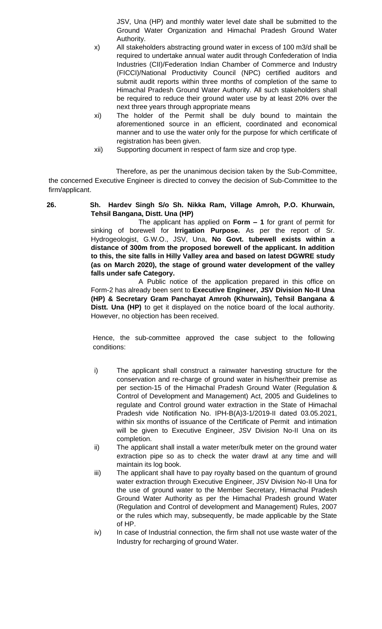JSV, Una (HP) and monthly water level date shall be submitted to the Ground Water Organization and Himachal Pradesh Ground Water Authority.

- x) All stakeholders abstracting ground water in excess of 100 m3/d shall be required to undertake annual water audit through Confederation of India Industries (CII)/Federation Indian Chamber of Commerce and Industry (FICCI)/National Productivity Council (NPC) certified auditors and submit audit reports within three months of completion of the same to Himachal Pradesh Ground Water Authority. All such stakeholders shall be required to reduce their ground water use by at least 20% over the next three years through appropriate means
- xi) The holder of the Permit shall be duly bound to maintain the aforementioned source in an efficient, coordinated and economical manner and to use the water only for the purpose for which certificate of registration has been given.
- xii) Supporting document in respect of farm size and crop type.

Therefore, as per the unanimous decision taken by the Sub-Committee, the concerned Executive Engineer is directed to convey the decision of Sub-Committee to the firm/applicant.

# **26. Sh. Hardev Singh S/o Sh. Nikka Ram, Village Amroh, P.O. Khurwain, Tehsil Bangana, Distt. Una (HP)**

The applicant has applied on **Form – 1** for grant of permit for sinking of borewell for **Irrigation Purpose.** As per the report of Sr. Hydrogeologist, G.W.O., JSV, Una, **No Govt. tubewell exists within a distance of 300m from the proposed borewell of the applicant. In addition to this, the site falls in Hilly Valley area and based on latest DGWRE study (as on March 2020), the stage of ground water development of the valley falls under safe Category.**

A Public notice of the application prepared in this office on Form-2 has already been sent to **Executive Engineer, JSV Division No-II Una (HP) & Secretary Gram Panchayat Amroh (Khurwain), Tehsil Bangana & Distt. Una (HP)** to get it displayed on the notice board of the local authority. However, no objection has been received.

- i) The applicant shall construct a rainwater harvesting structure for the conservation and re-charge of ground water in his/her/their premise as per section-15 of the Himachal Pradesh Ground Water (Regulation & Control of Development and Management) Act, 2005 and Guidelines to regulate and Control ground water extraction in the State of Himachal Pradesh vide Notification No. IPH-B(A)3-1/2019-II dated 03.05.2021, within six months of issuance of the Certificate of Permit and intimation will be given to Executive Engineer, JSV Division No-II Una on its completion.
- ii) The applicant shall install a water meter/bulk meter on the ground water extraction pipe so as to check the water drawl at any time and will maintain its log book.
- iii) The applicant shall have to pay royalty based on the quantum of ground water extraction through Executive Engineer, JSV Division No-II Una for the use of ground water to the Member Secretary, Himachal Pradesh Ground Water Authority as per the Himachal Pradesh ground Water (Regulation and Control of development and Management) Rules, 2007 or the rules which may, subsequently, be made applicable by the State of HP.
- iv) In case of Industrial connection, the firm shall not use waste water of the Industry for recharging of ground Water.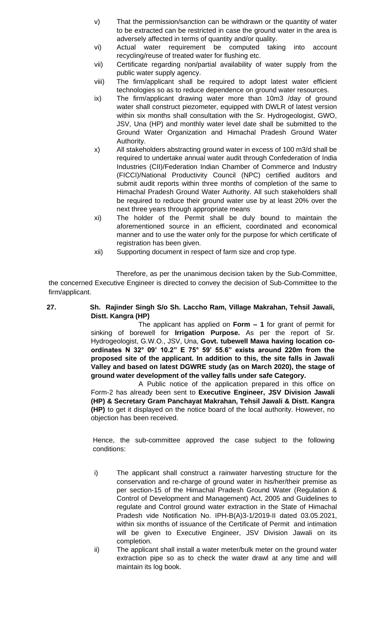- v) That the permission/sanction can be withdrawn or the quantity of water to be extracted can be restricted in case the ground water in the area is adversely affected in terms of quantity and/or quality.
- vi) Actual water requirement be computed taking into account recycling/reuse of treated water for flushing etc.
- vii) Certificate regarding non/partial availability of water supply from the public water supply agency.
- viii) The firm/applicant shall be required to adopt latest water efficient technologies so as to reduce dependence on ground water resources.
- ix) The firm/applicant drawing water more than 10m3 /day of ground water shall construct piezometer, equipped with DWLR of latest version within six months shall consultation with the Sr. Hydrogeologist, GWO, JSV, Una (HP) and monthly water level date shall be submitted to the Ground Water Organization and Himachal Pradesh Ground Water Authority.
- x) All stakeholders abstracting ground water in excess of 100 m3/d shall be required to undertake annual water audit through Confederation of India Industries (CII)/Federation Indian Chamber of Commerce and Industry (FICCI)/National Productivity Council (NPC) certified auditors and submit audit reports within three months of completion of the same to Himachal Pradesh Ground Water Authority. All such stakeholders shall be required to reduce their ground water use by at least 20% over the next three years through appropriate means
- xi) The holder of the Permit shall be duly bound to maintain the aforementioned source in an efficient, coordinated and economical manner and to use the water only for the purpose for which certificate of registration has been given.
- xii) Supporting document in respect of farm size and crop type.

# **27. Sh. Rajinder Singh S/o Sh. Laccho Ram, Village Makrahan, Tehsil Jawali, Distt. Kangra (HP)**

The applicant has applied on **Form – 1** for grant of permit for sinking of borewell for **Irrigation Purpose.** As per the report of Sr. Hydrogeologist, G.W.O., JSV, Una, **Govt. tubewell Mawa having location coordinates N 32° 09' 10.2" E 75° 59' 55.6" exists around 220m from the proposed site of the applicant. In addition to this, the site falls in Jawali Valley and based on latest DGWRE study (as on March 2020), the stage of ground water development of the valley falls under safe Category.**

A Public notice of the application prepared in this office on Form-2 has already been sent to **Executive Engineer, JSV Division Jawali (HP) & Secretary Gram Panchayat Makrahan, Tehsil Jawali & Distt. Kangra (HP)** to get it displayed on the notice board of the local authority. However, no objection has been received.

- i) The applicant shall construct a rainwater harvesting structure for the conservation and re-charge of ground water in his/her/their premise as per section-15 of the Himachal Pradesh Ground Water (Regulation & Control of Development and Management) Act, 2005 and Guidelines to regulate and Control ground water extraction in the State of Himachal Pradesh vide Notification No. IPH-B(A)3-1/2019-II dated 03.05.2021, within six months of issuance of the Certificate of Permit and intimation will be given to Executive Engineer, JSV Division Jawali on its completion.
- ii) The applicant shall install a water meter/bulk meter on the ground water extraction pipe so as to check the water drawl at any time and will maintain its log book.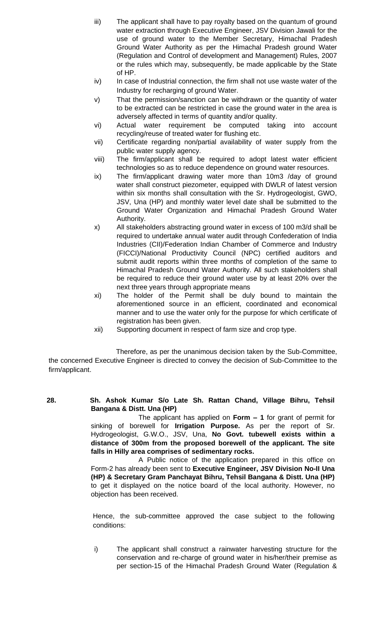- iii) The applicant shall have to pay royalty based on the quantum of ground water extraction through Executive Engineer, JSV Division Jawali for the use of ground water to the Member Secretary, Himachal Pradesh Ground Water Authority as per the Himachal Pradesh ground Water (Regulation and Control of development and Management) Rules, 2007 or the rules which may, subsequently, be made applicable by the State of HP.
- iv) In case of Industrial connection, the firm shall not use waste water of the Industry for recharging of ground Water.
- v) That the permission/sanction can be withdrawn or the quantity of water to be extracted can be restricted in case the ground water in the area is adversely affected in terms of quantity and/or quality.
- vi) Actual water requirement be computed taking into account recycling/reuse of treated water for flushing etc.
- vii) Certificate regarding non/partial availability of water supply from the public water supply agency.
- viii) The firm/applicant shall be required to adopt latest water efficient technologies so as to reduce dependence on ground water resources.
- ix) The firm/applicant drawing water more than 10m3 /day of ground water shall construct piezometer, equipped with DWLR of latest version within six months shall consultation with the Sr. Hydrogeologist, GWO, JSV, Una (HP) and monthly water level date shall be submitted to the Ground Water Organization and Himachal Pradesh Ground Water Authority.
- x) All stakeholders abstracting ground water in excess of 100 m3/d shall be required to undertake annual water audit through Confederation of India Industries (CII)/Federation Indian Chamber of Commerce and Industry (FICCI)/National Productivity Council (NPC) certified auditors and submit audit reports within three months of completion of the same to Himachal Pradesh Ground Water Authority. All such stakeholders shall be required to reduce their ground water use by at least 20% over the next three years through appropriate means
- xi) The holder of the Permit shall be duly bound to maintain the aforementioned source in an efficient, coordinated and economical manner and to use the water only for the purpose for which certificate of registration has been given.
- xii) Supporting document in respect of farm size and crop type.

**28. Sh. Ashok Kumar S/o Late Sh. Rattan Chand, Village Bihru, Tehsil Bangana & Distt. Una (HP)**

The applicant has applied on **Form – 1** for grant of permit for sinking of borewell for **Irrigation Purpose.** As per the report of Sr. Hydrogeologist, G.W.O., JSV, Una, **No Govt. tubewell exists within a distance of 300m from the proposed borewell of the applicant. The site falls in Hilly area comprises of sedimentary rocks.**

A Public notice of the application prepared in this office on Form-2 has already been sent to **Executive Engineer, JSV Division No-II Una (HP) & Secretary Gram Panchayat Bihru, Tehsil Bangana & Distt. Una (HP)**  to get it displayed on the notice board of the local authority. However, no objection has been received.

Hence, the sub-committee approved the case subject to the following conditions:

i) The applicant shall construct a rainwater harvesting structure for the conservation and re-charge of ground water in his/her/their premise as per section-15 of the Himachal Pradesh Ground Water (Regulation &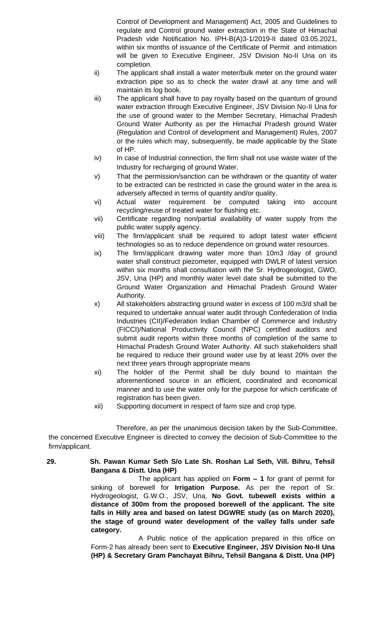Control of Development and Management) Act, 2005 and Guidelines to regulate and Control ground water extraction in the State of Himachal Pradesh vide Notification No. IPH-B(A)3-1/2019-II dated 03.05.2021, within six months of issuance of the Certificate of Permit and intimation will be given to Executive Engineer, JSV Division No-II Una on its completion.

- ii) The applicant shall install a water meter/bulk meter on the ground water extraction pipe so as to check the water drawl at any time and will maintain its log book.
- iii) The applicant shall have to pay royalty based on the quantum of ground water extraction through Executive Engineer, JSV Division No-II Una for the use of ground water to the Member Secretary, Himachal Pradesh Ground Water Authority as per the Himachal Pradesh ground Water (Regulation and Control of development and Management) Rules, 2007 or the rules which may, subsequently, be made applicable by the State of HP.
- iv) In case of Industrial connection, the firm shall not use waste water of the Industry for recharging of ground Water.
- v) That the permission/sanction can be withdrawn or the quantity of water to be extracted can be restricted in case the ground water in the area is adversely affected in terms of quantity and/or quality.
- vi) Actual water requirement be computed taking into account recycling/reuse of treated water for flushing etc.
- vii) Certificate regarding non/partial availability of water supply from the public water supply agency.
- viii) The firm/applicant shall be required to adopt latest water efficient technologies so as to reduce dependence on ground water resources.
- ix) The firm/applicant drawing water more than 10m3 /day of ground water shall construct piezometer, equipped with DWLR of latest version within six months shall consultation with the Sr. Hydrogeologist, GWO, JSV, Una (HP) and monthly water level date shall be submitted to the Ground Water Organization and Himachal Pradesh Ground Water Authority.
- x) All stakeholders abstracting ground water in excess of 100 m3/d shall be required to undertake annual water audit through Confederation of India Industries (CII)/Federation Indian Chamber of Commerce and Industry (FICCI)/National Productivity Council (NPC) certified auditors and submit audit reports within three months of completion of the same to Himachal Pradesh Ground Water Authority. All such stakeholders shall be required to reduce their ground water use by at least 20% over the next three years through appropriate means
- xi) The holder of the Permit shall be duly bound to maintain the aforementioned source in an efficient, coordinated and economical manner and to use the water only for the purpose for which certificate of registration has been given.
- xii) Supporting document in respect of farm size and crop type.

Therefore, as per the unanimous decision taken by the Sub-Committee, the concerned Executive Engineer is directed to convey the decision of Sub-Committee to the firm/applicant.

# **29. Sh. Pawan Kumar Seth S/o Late Sh. Roshan Lal Seth, Vill. Bihru, Tehsil Bangana & Distt. Una (HP)**

The applicant has applied on **Form – 1** for grant of permit for sinking of borewell for **Irrigation Purpose.** As per the report of Sr. Hydrogeologist, G.W.O., JSV, Una, **No Govt. tubewell exists within a distance of 300m from the proposed borewell of the applicant. The site falls in Hilly area and based on latest DGWRE study (as on March 2020), the stage of ground water development of the valley falls under safe category.**

A Public notice of the application prepared in this office on Form-2 has already been sent to **Executive Engineer, JSV Division No-II Una (HP) & Secretary Gram Panchayat Bihru, Tehsil Bangana & Distt. Una (HP)**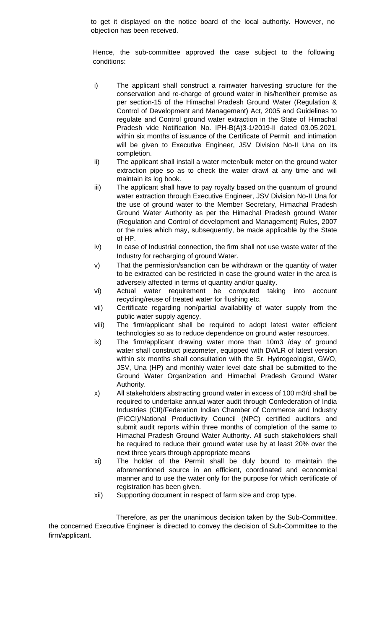to get it displayed on the notice board of the local authority. However, no objection has been received.

Hence, the sub-committee approved the case subject to the following conditions:

- i) The applicant shall construct a rainwater harvesting structure for the conservation and re-charge of ground water in his/her/their premise as per section-15 of the Himachal Pradesh Ground Water (Regulation & Control of Development and Management) Act, 2005 and Guidelines to regulate and Control ground water extraction in the State of Himachal Pradesh vide Notification No. IPH-B(A)3-1/2019-II dated 03.05.2021, within six months of issuance of the Certificate of Permit and intimation will be given to Executive Engineer, JSV Division No-II Una on its completion.
- ii) The applicant shall install a water meter/bulk meter on the ground water extraction pipe so as to check the water drawl at any time and will maintain its log book.
- iii) The applicant shall have to pay royalty based on the quantum of ground water extraction through Executive Engineer, JSV Division No-II Una for the use of ground water to the Member Secretary, Himachal Pradesh Ground Water Authority as per the Himachal Pradesh ground Water (Regulation and Control of development and Management) Rules, 2007 or the rules which may, subsequently, be made applicable by the State of HP.
- iv) In case of Industrial connection, the firm shall not use waste water of the Industry for recharging of ground Water.
- v) That the permission/sanction can be withdrawn or the quantity of water to be extracted can be restricted in case the ground water in the area is adversely affected in terms of quantity and/or quality.
- vi) Actual water requirement be computed taking into account recycling/reuse of treated water for flushing etc.
- vii) Certificate regarding non/partial availability of water supply from the public water supply agency.
- viii) The firm/applicant shall be required to adopt latest water efficient technologies so as to reduce dependence on ground water resources.
- ix) The firm/applicant drawing water more than 10m3 /day of ground water shall construct piezometer, equipped with DWLR of latest version within six months shall consultation with the Sr. Hydrogeologist, GWO, JSV, Una (HP) and monthly water level date shall be submitted to the Ground Water Organization and Himachal Pradesh Ground Water Authority.
- x) All stakeholders abstracting ground water in excess of 100 m3/d shall be required to undertake annual water audit through Confederation of India Industries (CII)/Federation Indian Chamber of Commerce and Industry (FICCI)/National Productivity Council (NPC) certified auditors and submit audit reports within three months of completion of the same to Himachal Pradesh Ground Water Authority. All such stakeholders shall be required to reduce their ground water use by at least 20% over the next three years through appropriate means
- xi) The holder of the Permit shall be duly bound to maintain the aforementioned source in an efficient, coordinated and economical manner and to use the water only for the purpose for which certificate of registration has been given.
- xii) Supporting document in respect of farm size and crop type.

Therefore, as per the unanimous decision taken by the Sub-Committee, the concerned Executive Engineer is directed to convey the decision of Sub-Committee to the firm/applicant.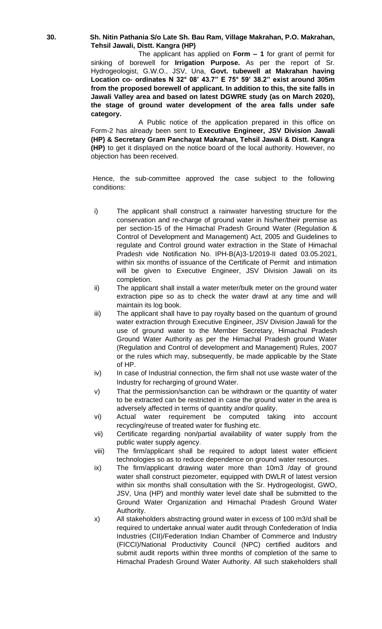#### **30. Sh. Nitin Pathania S/o Late Sh. Bau Ram, Village Makrahan, P.O. Makrahan, Tehsil Jawali, Distt. Kangra (HP)**

The applicant has applied on **Form – 1** for grant of permit for sinking of borewell for **Irrigation Purpose.** As per the report of Sr. Hydrogeologist, G.W.O., JSV, Una, **Govt. tubewell at Makrahan having Location co- ordinates N 32° 08' 43.7" E 75° 59' 38.2" exist around 305m from the proposed borewell of applicant. In addition to this, the site falls in Jawali Valley area and based on latest DGWRE study (as on March 2020), the stage of ground water development of the area falls under safe category.** 

A Public notice of the application prepared in this office on Form-2 has already been sent to **Executive Engineer, JSV Division Jawali (HP) & Secretary Gram Panchayat Makrahan, Tehsil Jawali & Distt. Kangra (HP)** to get it displayed on the notice board of the local authority. However, no objection has been received.

- i) The applicant shall construct a rainwater harvesting structure for the conservation and re-charge of ground water in his/her/their premise as per section-15 of the Himachal Pradesh Ground Water (Regulation & Control of Development and Management) Act, 2005 and Guidelines to regulate and Control ground water extraction in the State of Himachal Pradesh vide Notification No. IPH-B(A)3-1/2019-II dated 03.05.2021, within six months of issuance of the Certificate of Permit and intimation will be given to Executive Engineer, JSV Division Jawali on its completion.
- ii) The applicant shall install a water meter/bulk meter on the ground water extraction pipe so as to check the water drawl at any time and will maintain its log book.
- iii) The applicant shall have to pay royalty based on the quantum of ground water extraction through Executive Engineer, JSV Division Jawali for the use of ground water to the Member Secretary, Himachal Pradesh Ground Water Authority as per the Himachal Pradesh ground Water (Regulation and Control of development and Management) Rules, 2007 or the rules which may, subsequently, be made applicable by the State of HP.
- iv) In case of Industrial connection, the firm shall not use waste water of the Industry for recharging of ground Water.
- v) That the permission/sanction can be withdrawn or the quantity of water to be extracted can be restricted in case the ground water in the area is adversely affected in terms of quantity and/or quality.
- vi) Actual water requirement be computed taking into account recycling/reuse of treated water for flushing etc.
- vii) Certificate regarding non/partial availability of water supply from the public water supply agency.
- viii) The firm/applicant shall be required to adopt latest water efficient technologies so as to reduce dependence on ground water resources.
- ix) The firm/applicant drawing water more than 10m3 /day of ground water shall construct piezometer, equipped with DWLR of latest version within six months shall consultation with the Sr. Hydrogeologist, GWO, JSV, Una (HP) and monthly water level date shall be submitted to the Ground Water Organization and Himachal Pradesh Ground Water Authority.
- x) All stakeholders abstracting ground water in excess of 100 m3/d shall be required to undertake annual water audit through Confederation of India Industries (CII)/Federation Indian Chamber of Commerce and Industry (FICCI)/National Productivity Council (NPC) certified auditors and submit audit reports within three months of completion of the same to Himachal Pradesh Ground Water Authority. All such stakeholders shall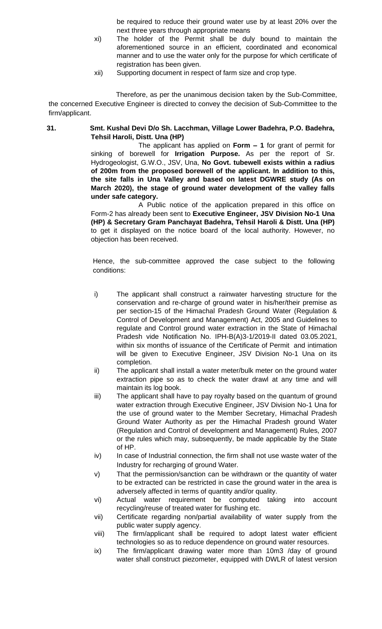be required to reduce their ground water use by at least 20% over the next three years through appropriate means

- xi) The holder of the Permit shall be duly bound to maintain the aforementioned source in an efficient, coordinated and economical manner and to use the water only for the purpose for which certificate of registration has been given.
- xii) Supporting document in respect of farm size and crop type.

Therefore, as per the unanimous decision taken by the Sub-Committee, the concerned Executive Engineer is directed to convey the decision of Sub-Committee to the firm/applicant.

**31. Smt. Kushal Devi D/o Sh. Lacchman, Village Lower Badehra, P.O. Badehra, Tehsil Haroli, Distt. Una (HP)**

> The applicant has applied on **Form – 1** for grant of permit for sinking of borewell for **Irrigation Purpose.** As per the report of Sr. Hydrogeologist, G.W.O., JSV, Una, **No Govt. tubewell exists within a radius of 200m from the proposed borewell of the applicant. In addition to this, the site falls in Una Valley and based on latest DGWRE study (As on March 2020), the stage of ground water development of the valley falls under safe category.**

> A Public notice of the application prepared in this office on Form-2 has already been sent to **Executive Engineer, JSV Division No-1 Una (HP) & Secretary Gram Panchayat Badehra, Tehsil Haroli & Distt. Una (HP)**  to get it displayed on the notice board of the local authority. However, no objection has been received.

- i) The applicant shall construct a rainwater harvesting structure for the conservation and re-charge of ground water in his/her/their premise as per section-15 of the Himachal Pradesh Ground Water (Regulation & Control of Development and Management) Act, 2005 and Guidelines to regulate and Control ground water extraction in the State of Himachal Pradesh vide Notification No. IPH-B(A)3-1/2019-II dated 03.05.2021, within six months of issuance of the Certificate of Permit and intimation will be given to Executive Engineer, JSV Division No-1 Una on its completion.
- ii) The applicant shall install a water meter/bulk meter on the ground water extraction pipe so as to check the water drawl at any time and will maintain its log book.
- iii) The applicant shall have to pay royalty based on the quantum of ground water extraction through Executive Engineer, JSV Division No-1 Una for the use of ground water to the Member Secretary, Himachal Pradesh Ground Water Authority as per the Himachal Pradesh ground Water (Regulation and Control of development and Management) Rules, 2007 or the rules which may, subsequently, be made applicable by the State of HP.
- iv) In case of Industrial connection, the firm shall not use waste water of the Industry for recharging of ground Water.
- v) That the permission/sanction can be withdrawn or the quantity of water to be extracted can be restricted in case the ground water in the area is adversely affected in terms of quantity and/or quality.
- vi) Actual water requirement be computed taking into account recycling/reuse of treated water for flushing etc.
- vii) Certificate regarding non/partial availability of water supply from the public water supply agency.
- viii) The firm/applicant shall be required to adopt latest water efficient technologies so as to reduce dependence on ground water resources.
- ix) The firm/applicant drawing water more than 10m3 /day of ground water shall construct piezometer, equipped with DWLR of latest version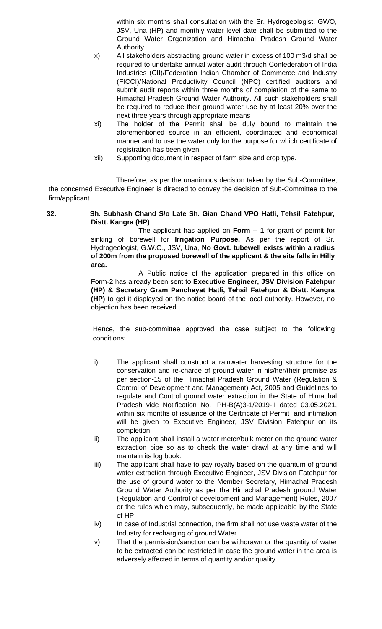within six months shall consultation with the Sr. Hydrogeologist, GWO, JSV, Una (HP) and monthly water level date shall be submitted to the Ground Water Organization and Himachal Pradesh Ground Water Authority.

- x) All stakeholders abstracting ground water in excess of 100 m3/d shall be required to undertake annual water audit through Confederation of India Industries (CII)/Federation Indian Chamber of Commerce and Industry (FICCI)/National Productivity Council (NPC) certified auditors and submit audit reports within three months of completion of the same to Himachal Pradesh Ground Water Authority. All such stakeholders shall be required to reduce their ground water use by at least 20% over the next three years through appropriate means
- xi) The holder of the Permit shall be duly bound to maintain the aforementioned source in an efficient, coordinated and economical manner and to use the water only for the purpose for which certificate of registration has been given.
- xii) Supporting document in respect of farm size and crop type.

Therefore, as per the unanimous decision taken by the Sub-Committee, the concerned Executive Engineer is directed to convey the decision of Sub-Committee to the firm/applicant.

# **32. Sh. Subhash Chand S/o Late Sh. Gian Chand VPO Hatli, Tehsil Fatehpur, Distt. Kangra (HP)**

The applicant has applied on **Form – 1** for grant of permit for sinking of borewell for **Irrigation Purpose.** As per the report of Sr. Hydrogeologist, G.W.O., JSV, Una, **No Govt. tubewell exists within a radius of 200m from the proposed borewell of the applicant & the site falls in Hilly area.** 

A Public notice of the application prepared in this office on Form-2 has already been sent to **Executive Engineer, JSV Division Fatehpur (HP) & Secretary Gram Panchayat Hatli, Tehsil Fatehpur & Distt. Kangra (HP)** to get it displayed on the notice board of the local authority. However, no objection has been received.

- i) The applicant shall construct a rainwater harvesting structure for the conservation and re-charge of ground water in his/her/their premise as per section-15 of the Himachal Pradesh Ground Water (Regulation & Control of Development and Management) Act, 2005 and Guidelines to regulate and Control ground water extraction in the State of Himachal Pradesh vide Notification No. IPH-B(A)3-1/2019-II dated 03.05.2021, within six months of issuance of the Certificate of Permit and intimation will be given to Executive Engineer, JSV Division Fatehpur on its completion.
- ii) The applicant shall install a water meter/bulk meter on the ground water extraction pipe so as to check the water drawl at any time and will maintain its log book.
- iii) The applicant shall have to pay royalty based on the quantum of ground water extraction through Executive Engineer, JSV Division Fatehpur for the use of ground water to the Member Secretary, Himachal Pradesh Ground Water Authority as per the Himachal Pradesh ground Water (Regulation and Control of development and Management) Rules, 2007 or the rules which may, subsequently, be made applicable by the State of HP.
- iv) In case of Industrial connection, the firm shall not use waste water of the Industry for recharging of ground Water.
- v) That the permission/sanction can be withdrawn or the quantity of water to be extracted can be restricted in case the ground water in the area is adversely affected in terms of quantity and/or quality.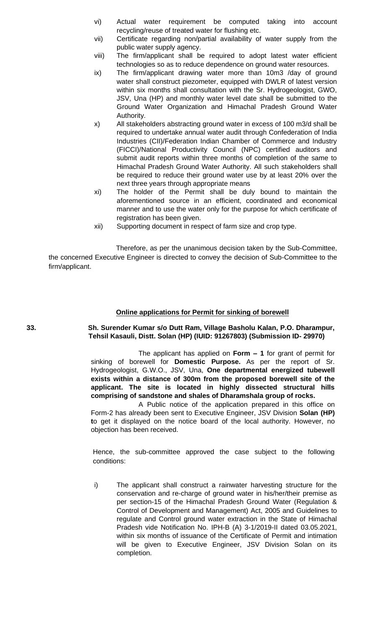- vi) Actual water requirement be computed taking into account recycling/reuse of treated water for flushing etc.
- vii) Certificate regarding non/partial availability of water supply from the public water supply agency.
- viii) The firm/applicant shall be required to adopt latest water efficient technologies so as to reduce dependence on ground water resources.
- ix) The firm/applicant drawing water more than 10m3 /day of ground water shall construct piezometer, equipped with DWLR of latest version within six months shall consultation with the Sr. Hydrogeologist, GWO, JSV, Una (HP) and monthly water level date shall be submitted to the Ground Water Organization and Himachal Pradesh Ground Water Authority.
- x) All stakeholders abstracting ground water in excess of 100 m3/d shall be required to undertake annual water audit through Confederation of India Industries (CII)/Federation Indian Chamber of Commerce and Industry (FICCI)/National Productivity Council (NPC) certified auditors and submit audit reports within three months of completion of the same to Himachal Pradesh Ground Water Authority. All such stakeholders shall be required to reduce their ground water use by at least 20% over the next three years through appropriate means
- xi) The holder of the Permit shall be duly bound to maintain the aforementioned source in an efficient, coordinated and economical manner and to use the water only for the purpose for which certificate of registration has been given.
- xii) Supporting document in respect of farm size and crop type.

# **Online applications for Permit for sinking of borewell**

**33. Sh. Surender Kumar s/o Dutt Ram, Village Basholu Kalan, P.O. Dharampur, Tehsil Kasauli, Distt. Solan (HP) (IUID: 91267803) (Submission ID- 29970)**

> The applicant has applied on **Form – 1** for grant of permit for sinking of borewell for **Domestic Purpose.** As per the report of Sr. Hydrogeologist, G.W.O., JSV, Una, **One departmental energized tubewell exists within a distance of 300m from the proposed borewell site of the applicant. The site is located in highly dissected structural hills comprising of sandstone and shales of Dharamshala group of rocks.**

> A Public notice of the application prepared in this office on Form-2 has already been sent to Executive Engineer, JSV Division **Solan (HP) t**o get it displayed on the notice board of the local authority. However, no objection has been received.

> Hence, the sub-committee approved the case subject to the following conditions:

> i) The applicant shall construct a rainwater harvesting structure for the conservation and re-charge of ground water in his/her/their premise as per section-15 of the Himachal Pradesh Ground Water (Regulation & Control of Development and Management) Act, 2005 and Guidelines to regulate and Control ground water extraction in the State of Himachal Pradesh vide Notification No. IPH-B (A) 3-1/2019-II dated 03.05.2021, within six months of issuance of the Certificate of Permit and intimation will be given to Executive Engineer, JSV Division Solan on its completion.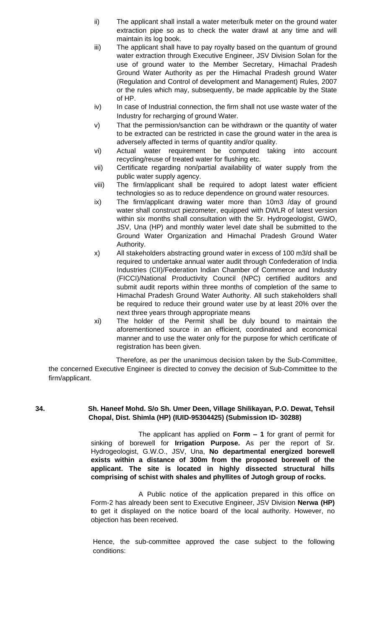- ii) The applicant shall install a water meter/bulk meter on the ground water extraction pipe so as to check the water drawl at any time and will maintain its log book.
- iii) The applicant shall have to pay royalty based on the quantum of ground water extraction through Executive Engineer, JSV Division Solan for the use of ground water to the Member Secretary, Himachal Pradesh Ground Water Authority as per the Himachal Pradesh ground Water (Regulation and Control of development and Management) Rules, 2007 or the rules which may, subsequently, be made applicable by the State of HP.
- iv) In case of Industrial connection, the firm shall not use waste water of the Industry for recharging of ground Water.
- v) That the permission/sanction can be withdrawn or the quantity of water to be extracted can be restricted in case the ground water in the area is adversely affected in terms of quantity and/or quality.
- vi) Actual water requirement be computed taking into account recycling/reuse of treated water for flushing etc.
- vii) Certificate regarding non/partial availability of water supply from the public water supply agency.
- viii) The firm/applicant shall be required to adopt latest water efficient technologies so as to reduce dependence on ground water resources.
- ix) The firm/applicant drawing water more than 10m3 /day of ground water shall construct piezometer, equipped with DWLR of latest version within six months shall consultation with the Sr. Hydrogeologist, GWO, JSV, Una (HP) and monthly water level date shall be submitted to the Ground Water Organization and Himachal Pradesh Ground Water Authority.
- x) All stakeholders abstracting ground water in excess of 100 m3/d shall be required to undertake annual water audit through Confederation of India Industries (CII)/Federation Indian Chamber of Commerce and Industry (FICCI)/National Productivity Council (NPC) certified auditors and submit audit reports within three months of completion of the same to Himachal Pradesh Ground Water Authority. All such stakeholders shall be required to reduce their ground water use by at least 20% over the next three years through appropriate means
- xi) The holder of the Permit shall be duly bound to maintain the aforementioned source in an efficient, coordinated and economical manner and to use the water only for the purpose for which certificate of registration has been given.

# **34. Sh. Haneef Mohd. S/o Sh. Umer Deen, Village Shilikayan, P.O. Dewat, Tehsil Chopal, Dist. Shimla (HP) (IUID-95304425) (Submission ID- 30288)**

The applicant has applied on **Form – 1** for grant of permit for sinking of borewell for **Irrigation Purpose.** As per the report of Sr. Hydrogeologist, G.W.O., JSV, Una, **No departmental energized borewell exists within a distance of 300m from the proposed borewell of the applicant. The site is located in highly dissected structural hills comprising of schist with shales and phyllites of Jutogh group of rocks.**

A Public notice of the application prepared in this office on Form-2 has already been sent to Executive Engineer, JSV Division **Nerwa (HP) t**o get it displayed on the notice board of the local authority. However, no objection has been received.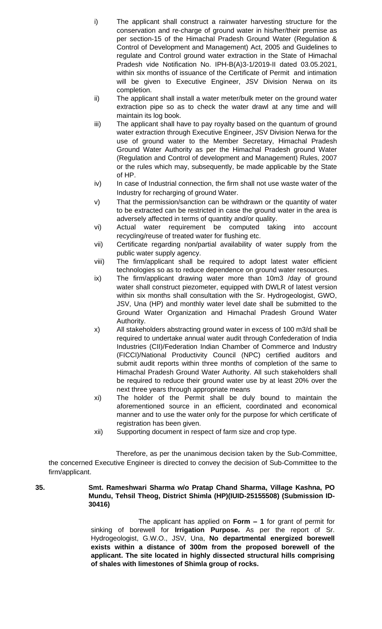- i) The applicant shall construct a rainwater harvesting structure for the conservation and re-charge of ground water in his/her/their premise as per section-15 of the Himachal Pradesh Ground Water (Regulation & Control of Development and Management) Act, 2005 and Guidelines to regulate and Control ground water extraction in the State of Himachal Pradesh vide Notification No. IPH-B(A)3-1/2019-II dated 03.05.2021, within six months of issuance of the Certificate of Permit and intimation will be given to Executive Engineer, JSV Division Nerwa on its completion.
- ii) The applicant shall install a water meter/bulk meter on the ground water extraction pipe so as to check the water drawl at any time and will maintain its log book.
- iii) The applicant shall have to pay royalty based on the quantum of ground water extraction through Executive Engineer, JSV Division Nerwa for the use of ground water to the Member Secretary, Himachal Pradesh Ground Water Authority as per the Himachal Pradesh ground Water (Regulation and Control of development and Management) Rules, 2007 or the rules which may, subsequently, be made applicable by the State of HP.
- iv) In case of Industrial connection, the firm shall not use waste water of the Industry for recharging of ground Water.
- v) That the permission/sanction can be withdrawn or the quantity of water to be extracted can be restricted in case the ground water in the area is adversely affected in terms of quantity and/or quality.
- vi) Actual water requirement be computed taking into account recycling/reuse of treated water for flushing etc.
- vii) Certificate regarding non/partial availability of water supply from the public water supply agency.
- viii) The firm/applicant shall be required to adopt latest water efficient technologies so as to reduce dependence on ground water resources.
- ix) The firm/applicant drawing water more than 10m3 /day of ground water shall construct piezometer, equipped with DWLR of latest version within six months shall consultation with the Sr. Hydrogeologist, GWO, JSV, Una (HP) and monthly water level date shall be submitted to the Ground Water Organization and Himachal Pradesh Ground Water Authority.
- x) All stakeholders abstracting ground water in excess of 100 m3/d shall be required to undertake annual water audit through Confederation of India Industries (CII)/Federation Indian Chamber of Commerce and Industry (FICCI)/National Productivity Council (NPC) certified auditors and submit audit reports within three months of completion of the same to Himachal Pradesh Ground Water Authority. All such stakeholders shall be required to reduce their ground water use by at least 20% over the next three years through appropriate means
- xi) The holder of the Permit shall be duly bound to maintain the aforementioned source in an efficient, coordinated and economical manner and to use the water only for the purpose for which certificate of registration has been given.
- xii) Supporting document in respect of farm size and crop type.

# **35. Smt. Rameshwari Sharma w/o Pratap Chand Sharma, Village Kashna, PO Mundu, Tehsil Theog, District Shimla (HP)(IUID-25155508) (Submission ID-30416)**

The applicant has applied on **Form – 1** for grant of permit for sinking of borewell for **Irrigation Purpose.** As per the report of Sr. Hydrogeologist, G.W.O., JSV, Una, **No departmental energized borewell exists within a distance of 300m from the proposed borewell of the applicant. The site located in highly dissected structural hills comprising of shales with limestones of Shimla group of rocks.**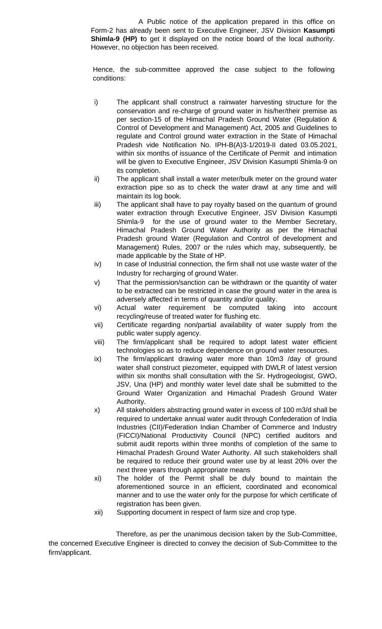A Public notice of the application prepared in this office on Form-2 has already been sent to Executive Engineer, JSV Division **Kasumpti Shimla-9 (HP) t**o get it displayed on the notice board of the local authority. However, no objection has been received.

Hence, the sub-committee approved the case subject to the following conditions:

- i) The applicant shall construct a rainwater harvesting structure for the conservation and re-charge of ground water in his/her/their premise as per section-15 of the Himachal Pradesh Ground Water (Regulation & Control of Development and Management) Act, 2005 and Guidelines to regulate and Control ground water extraction in the State of Himachal Pradesh vide Notification No. IPH-B(A)3-1/2019-II dated 03.05.2021, within six months of issuance of the Certificate of Permit and intimation will be given to Executive Engineer, JSV Division Kasumpti Shimla-9 on its completion.
- ii) The applicant shall install a water meter/bulk meter on the ground water extraction pipe so as to check the water drawl at any time and will maintain its log book.
- iii) The applicant shall have to pay royalty based on the quantum of ground water extraction through Executive Engineer, JSV Division Kasumpti Shimla-9 for the use of ground water to the Member Secretary, Himachal Pradesh Ground Water Authority as per the Himachal Pradesh ground Water (Regulation and Control of development and Management) Rules, 2007 or the rules which may, subsequently, be made applicable by the State of HP.
- iv) In case of Industrial connection, the firm shall not use waste water of the Industry for recharging of ground Water.
- v) That the permission/sanction can be withdrawn or the quantity of water to be extracted can be restricted in case the ground water in the area is adversely affected in terms of quantity and/or quality.
- vi) Actual water requirement be computed taking into account recycling/reuse of treated water for flushing etc.
- vii) Certificate regarding non/partial availability of water supply from the public water supply agency.
- viii) The firm/applicant shall be required to adopt latest water efficient technologies so as to reduce dependence on ground water resources.
- ix) The firm/applicant drawing water more than 10m3 /day of ground water shall construct piezometer, equipped with DWLR of latest version within six months shall consultation with the Sr. Hydrogeologist, GWO, JSV, Una (HP) and monthly water level date shall be submitted to the Ground Water Organization and Himachal Pradesh Ground Water Authority.
- x) All stakeholders abstracting ground water in excess of 100 m3/d shall be required to undertake annual water audit through Confederation of India Industries (CII)/Federation Indian Chamber of Commerce and Industry (FICCI)/National Productivity Council (NPC) certified auditors and submit audit reports within three months of completion of the same to Himachal Pradesh Ground Water Authority. All such stakeholders shall be required to reduce their ground water use by at least 20% over the next three years through appropriate means
- xi) The holder of the Permit shall be duly bound to maintain the aforementioned source in an efficient, coordinated and economical manner and to use the water only for the purpose for which certificate of registration has been given.
- xii) Supporting document in respect of farm size and crop type.

Therefore, as per the unanimous decision taken by the Sub-Committee, the concerned Executive Engineer is directed to convey the decision of Sub-Committee to the firm/applicant.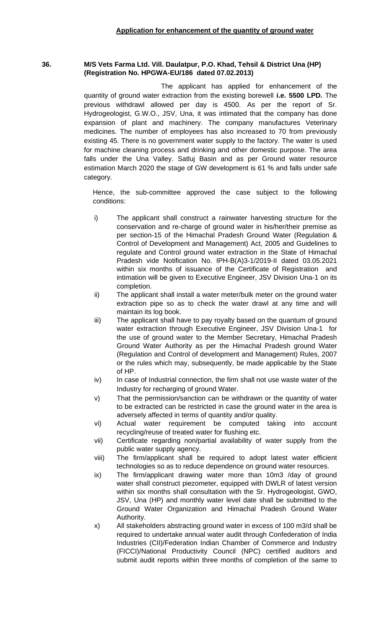#### **36. M/S Vets Farma Ltd. Vill. Daulatpur, P.O. Khad, Tehsil & District Una (HP) (Registration No. HPGWA-EU/186 dated 07.02.2013)**

The applicant has applied for enhancement of the quantity of ground water extraction from the existing borewell **i.e. 5500 LPD.** The previous withdrawl allowed per day is 4500. As per the report of Sr. Hydrogeologist, G.W.O., JSV, Una, it was intimated that the company has done expansion of plant and machinery. The company manufactures Veterinary medicines. The number of employees has also increased to 70 from previously existing 45. There is no government water supply to the factory. The water is used for machine cleaning process and drinking and other domestic purpose. The area falls under the Una Valley. Satluj Basin and as per Ground water resource estimation March 2020 the stage of GW development is 61 % and falls under safe category.

- i) The applicant shall construct a rainwater harvesting structure for the conservation and re-charge of ground water in his/her/their premise as per section-15 of the Himachal Pradesh Ground Water (Regulation & Control of Development and Management) Act, 2005 and Guidelines to regulate and Control ground water extraction in the State of Himachal Pradesh vide Notification No. IPH-B(A)3-1/2019-II dated 03.05.2021 within six months of issuance of the Certificate of Registration and intimation will be given to Executive Engineer, JSV Division Una-1 on its completion.
- ii) The applicant shall install a water meter/bulk meter on the ground water extraction pipe so as to check the water drawl at any time and will maintain its log book.
- iii) The applicant shall have to pay royalty based on the quantum of ground water extraction through Executive Engineer, JSV Division Una-1 for the use of ground water to the Member Secretary, Himachal Pradesh Ground Water Authority as per the Himachal Pradesh ground Water (Regulation and Control of development and Management) Rules, 2007 or the rules which may, subsequently, be made applicable by the State of HP.
- $iv)$  In case of Industrial connection, the firm shall not use waste water of the Industry for recharging of ground Water.
- v) That the permission/sanction can be withdrawn or the quantity of water to be extracted can be restricted in case the ground water in the area is adversely affected in terms of quantity and/or quality.
- vi) Actual water requirement be computed taking into account recycling/reuse of treated water for flushing etc.
- vii) Certificate regarding non/partial availability of water supply from the public water supply agency.
- viii) The firm/applicant shall be required to adopt latest water efficient technologies so as to reduce dependence on ground water resources.
- ix) The firm/applicant drawing water more than 10m3 /day of ground water shall construct piezometer, equipped with DWLR of latest version within six months shall consultation with the Sr. Hydrogeologist, GWO, JSV, Una (HP) and monthly water level date shall be submitted to the Ground Water Organization and Himachal Pradesh Ground Water Authority.
- x) All stakeholders abstracting ground water in excess of 100 m3/d shall be required to undertake annual water audit through Confederation of India Industries (CII)/Federation Indian Chamber of Commerce and Industry (FICCI)/National Productivity Council (NPC) certified auditors and submit audit reports within three months of completion of the same to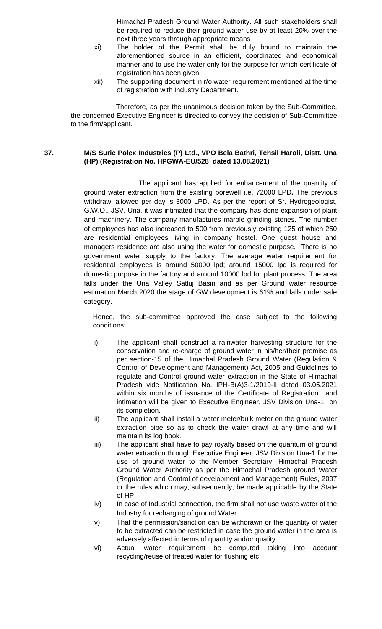Himachal Pradesh Ground Water Authority. All such stakeholders shall be required to reduce their ground water use by at least 20% over the next three years through appropriate means

- xi) The holder of the Permit shall be duly bound to maintain the aforementioned source in an efficient, coordinated and economical manner and to use the water only for the purpose for which certificate of registration has been given.
- xii) The supporting document in r/o water requirement mentioned at the time of registration with Industry Department.

Therefore, as per the unanimous decision taken by the Sub-Committee, the concerned Executive Engineer is directed to convey the decision of Sub-Committee to the firm/applicant.

# **37. M/S Surie Polex Industries (P) Ltd., VPO Bela Bathri, Tehsil Haroli, Distt. Una (HP) (Registration No. HPGWA-EU/528 dated 13.08.2021)**

The applicant has applied for enhancement of the quantity of ground water extraction from the existing borewell i.e. 72000 LPD**.** The previous withdrawl allowed per day is 3000 LPD. As per the report of Sr. Hydrogeologist, G.W.O., JSV, Una, it was intimated that the company has done expansion of plant and machinery. The company manufactures marble grinding stones. The number of employees has also increased to 500 from previously existing 125 of which 250 are residential employees living in company hostel. One guest house and managers residence are also using the water for domestic purpose. There is no government water supply to the factory. The average water requirement for residential employees is around 50000 lpd; around 15000 lpd is required for domestic purpose in the factory and around 10000 lpd for plant process. The area falls under the Una Valley Satluj Basin and as per Ground water resource estimation March 2020 the stage of GW development is 61% and falls under safe category.

- i) The applicant shall construct a rainwater harvesting structure for the conservation and re-charge of ground water in his/her/their premise as per section-15 of the Himachal Pradesh Ground Water (Regulation & Control of Development and Management) Act, 2005 and Guidelines to regulate and Control ground water extraction in the State of Himachal Pradesh vide Notification No. IPH-B(A)3-1/2019-II dated 03.05.2021 within six months of issuance of the Certificate of Registration and intimation will be given to Executive Engineer, JSV Division Una-1 on its completion.
- ii) The applicant shall install a water meter/bulk meter on the ground water extraction pipe so as to check the water drawl at any time and will maintain its log book.
- iii) The applicant shall have to pay royalty based on the quantum of ground water extraction through Executive Engineer, JSV Division Una-1 for the use of ground water to the Member Secretary, Himachal Pradesh Ground Water Authority as per the Himachal Pradesh ground Water (Regulation and Control of development and Management) Rules, 2007 or the rules which may, subsequently, be made applicable by the State of HP.
- iv) In case of Industrial connection, the firm shall not use waste water of the Industry for recharging of ground Water.
- v) That the permission/sanction can be withdrawn or the quantity of water to be extracted can be restricted in case the ground water in the area is adversely affected in terms of quantity and/or quality.
- vi) Actual water requirement be computed taking into account recycling/reuse of treated water for flushing etc.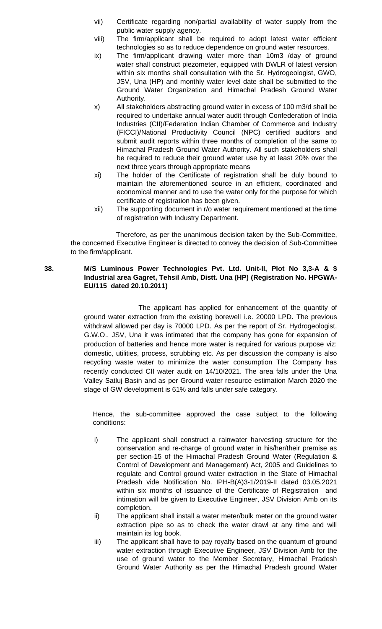- vii) Certificate regarding non/partial availability of water supply from the public water supply agency.
- viii) The firm/applicant shall be required to adopt latest water efficient technologies so as to reduce dependence on ground water resources.
- ix) The firm/applicant drawing water more than 10m3 /day of ground water shall construct piezometer, equipped with DWLR of latest version within six months shall consultation with the Sr. Hydrogeologist, GWO, JSV, Una (HP) and monthly water level date shall be submitted to the Ground Water Organization and Himachal Pradesh Ground Water Authority.
- x) All stakeholders abstracting ground water in excess of 100 m3/d shall be required to undertake annual water audit through Confederation of India Industries (CII)/Federation Indian Chamber of Commerce and Industry (FICCI)/National Productivity Council (NPC) certified auditors and submit audit reports within three months of completion of the same to Himachal Pradesh Ground Water Authority. All such stakeholders shall be required to reduce their ground water use by at least 20% over the next three years through appropriate means
- xi) The holder of the Certificate of registration shall be duly bound to maintain the aforementioned source in an efficient, coordinated and economical manner and to use the water only for the purpose for which certificate of registration has been given.
- xii) The supporting document in r/o water requirement mentioned at the time of registration with Industry Department.

# **38. M/S Luminous Power Technologies Pvt. Ltd. Unit-II, Plot No 3,3-A & \$ Industrial area Gagret, Tehsil Amb, Distt. Una (HP) (Registration No. HPGWA-EU/115 dated 20.10.2011)**

The applicant has applied for enhancement of the quantity of ground water extraction from the existing borewell i.e. 20000 LPD**.** The previous withdrawl allowed per day is 70000 LPD. As per the report of Sr. Hydrogeologist, G.W.O., JSV, Una it was intimated that the company has gone for expansion of production of batteries and hence more water is required for various purpose viz: domestic, utilities, process, scrubbing etc. As per discussion the company is also recycling waste water to minimize the water consumption The Company has recently conducted CII water audit on 14/10/2021. The area falls under the Una Valley Satluj Basin and as per Ground water resource estimation March 2020 the stage of GW development is 61% and falls under safe category.

- i) The applicant shall construct a rainwater harvesting structure for the conservation and re-charge of ground water in his/her/their premise as per section-15 of the Himachal Pradesh Ground Water (Regulation & Control of Development and Management) Act, 2005 and Guidelines to regulate and Control ground water extraction in the State of Himachal Pradesh vide Notification No. IPH-B(A)3-1/2019-II dated 03.05.2021 within six months of issuance of the Certificate of Registration and intimation will be given to Executive Engineer, JSV Division Amb on its completion.
- ii) The applicant shall install a water meter/bulk meter on the ground water extraction pipe so as to check the water drawl at any time and will maintain its log book.
- iii) The applicant shall have to pay royalty based on the quantum of ground water extraction through Executive Engineer, JSV Division Amb for the use of ground water to the Member Secretary, Himachal Pradesh Ground Water Authority as per the Himachal Pradesh ground Water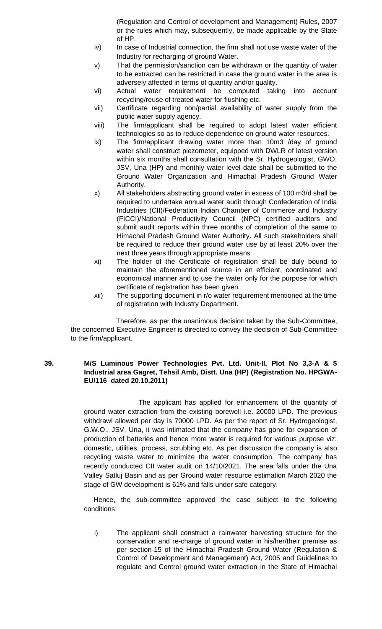(Regulation and Control of development and Management) Rules, 2007 or the rules which may, subsequently, be made applicable by the State of HP.

- iv) In case of Industrial connection, the firm shall not use waste water of the Industry for recharging of ground Water.
- v) That the permission/sanction can be withdrawn or the quantity of water to be extracted can be restricted in case the ground water in the area is adversely affected in terms of quantity and/or quality.
- vi) Actual water requirement be computed taking into account recycling/reuse of treated water for flushing etc.
- vii) Certificate regarding non/partial availability of water supply from the public water supply agency.
- viii) The firm/applicant shall be required to adopt latest water efficient technologies so as to reduce dependence on ground water resources.
- ix) The firm/applicant drawing water more than 10m3 /day of ground water shall construct piezometer, equipped with DWLR of latest version within six months shall consultation with the Sr. Hydrogeologist, GWO, JSV, Una (HP) and monthly water level date shall be submitted to the Ground Water Organization and Himachal Pradesh Ground Water Authority.
- x) All stakeholders abstracting ground water in excess of 100 m3/d shall be required to undertake annual water audit through Confederation of India Industries (CII)/Federation Indian Chamber of Commerce and Industry (FICCI)/National Productivity Council (NPC) certified auditors and submit audit reports within three months of completion of the same to Himachal Pradesh Ground Water Authority. All such stakeholders shall be required to reduce their ground water use by at least 20% over the next three years through appropriate means
- xi) The holder of the Certificate of registration shall be duly bound to maintain the aforementioned source in an efficient, coordinated and economical manner and to use the water only for the purpose for which certificate of registration has been given.
- xii) The supporting document in r/o water requirement mentioned at the time of registration with Industry Department.

Therefore, as per the unanimous decision taken by the Sub-Committee, the concerned Executive Engineer is directed to convey the decision of Sub-Committee to the firm/applicant.

# **39. M/S Luminous Power Technologies Pvt. Ltd. Unit-II, Plot No 3,3-A & \$ Industrial area Gagret, Tehsil Amb, Distt. Una (HP) (Registration No. HPGWA-EU/116 dated 20.10.2011)**

The applicant has applied for enhancement of the quantity of ground water extraction from the existing borewell i.e. 20000 LPD**.** The previous withdrawl allowed per day is 70000 LPD. As per the report of Sr. Hydrogeologist, G.W.O., JSV, Una, it was intimated that the company has gone for expansion of production of batteries and hence more water is required for various purpose viz: domestic, utilities, process, scrubbing etc. As per discussion the company is also recycling waste water to minimize the water consumption. The company has recently conducted CII water audit on 14/10/2021. The area falls under the Una Valley Satluj Basin and as per Ground water resource estimation March 2020 the stage of GW development is 61% and falls under safe category.

Hence, the sub-committee approved the case subject to the following conditions:

i) The applicant shall construct a rainwater harvesting structure for the conservation and re-charge of ground water in his/her/their premise as per section-15 of the Himachal Pradesh Ground Water (Regulation & Control of Development and Management) Act, 2005 and Guidelines to regulate and Control ground water extraction in the State of Himachal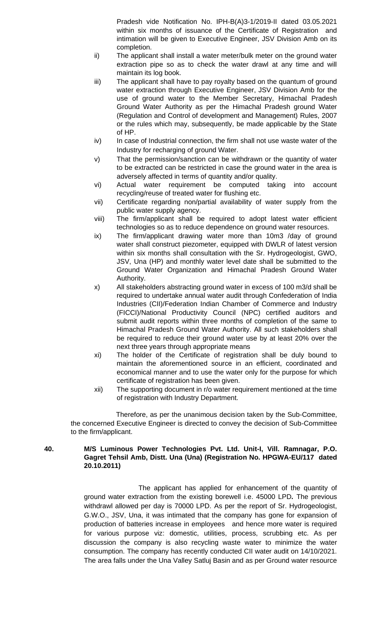Pradesh vide Notification No. IPH-B(A)3-1/2019-II dated 03.05.2021 within six months of issuance of the Certificate of Registration and intimation will be given to Executive Engineer, JSV Division Amb on its completion.

- ii) The applicant shall install a water meter/bulk meter on the ground water extraction pipe so as to check the water drawl at any time and will maintain its log book.
- iii) The applicant shall have to pay royalty based on the quantum of ground water extraction through Executive Engineer, JSV Division Amb for the use of ground water to the Member Secretary, Himachal Pradesh Ground Water Authority as per the Himachal Pradesh ground Water (Regulation and Control of development and Management) Rules, 2007 or the rules which may, subsequently, be made applicable by the State of HP.
- iv) In case of Industrial connection, the firm shall not use waste water of the Industry for recharging of ground Water.
- v) That the permission/sanction can be withdrawn or the quantity of water to be extracted can be restricted in case the ground water in the area is adversely affected in terms of quantity and/or quality.
- vi) Actual water requirement be computed taking into account recycling/reuse of treated water for flushing etc.
- vii) Certificate regarding non/partial availability of water supply from the public water supply agency.
- viii) The firm/applicant shall be required to adopt latest water efficient technologies so as to reduce dependence on ground water resources.
- ix) The firm/applicant drawing water more than 10m3 /day of ground water shall construct piezometer, equipped with DWLR of latest version within six months shall consultation with the Sr. Hydrogeologist, GWO, JSV, Una (HP) and monthly water level date shall be submitted to the Ground Water Organization and Himachal Pradesh Ground Water Authority.
- x) All stakeholders abstracting ground water in excess of 100 m3/d shall be required to undertake annual water audit through Confederation of India Industries (CII)/Federation Indian Chamber of Commerce and Industry (FICCI)/National Productivity Council (NPC) certified auditors and submit audit reports within three months of completion of the same to Himachal Pradesh Ground Water Authority. All such stakeholders shall be required to reduce their ground water use by at least 20% over the next three years through appropriate means
- xi) The holder of the Certificate of registration shall be duly bound to maintain the aforementioned source in an efficient, coordinated and economical manner and to use the water only for the purpose for which certificate of registration has been given.
- xii) The supporting document in r/o water requirement mentioned at the time of registration with Industry Department.

Therefore, as per the unanimous decision taken by the Sub-Committee, the concerned Executive Engineer is directed to convey the decision of Sub-Committee to the firm/applicant.

# **40. M/S Luminous Power Technologies Pvt. Ltd. Unit-I, Vill. Ramnagar, P.O. Gagret Tehsil Amb, Distt. Una (Una) (Registration No. HPGWA-EU/117 dated 20.10.2011)**

The applicant has applied for enhancement of the quantity of ground water extraction from the existing borewell i.e. 45000 LPD**.** The previous withdrawl allowed per day is 70000 LPD. As per the report of Sr. Hydrogeologist, G.W.O., JSV, Una, it was intimated that the company has gone for expansion of production of batteries increase in employees and hence more water is required for various purpose viz: domestic, utilities, process, scrubbing etc. As per discussion the company is also recycling waste water to minimize the water consumption. The company has recently conducted CII water audit on 14/10/2021. The area falls under the Una Valley Satluj Basin and as per Ground water resource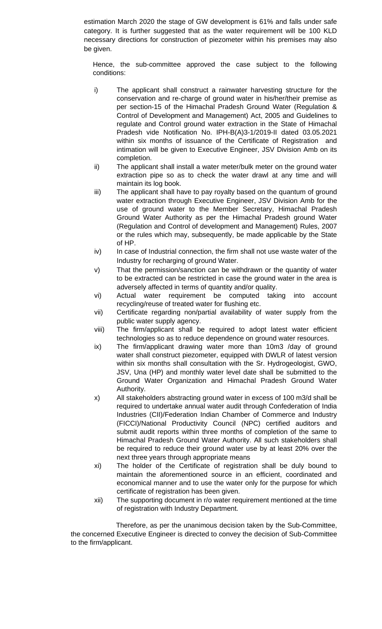estimation March 2020 the stage of GW development is 61% and falls under safe category. It is further suggested that as the water requirement will be 100 KLD necessary directions for construction of piezometer within his premises may also be given.

Hence, the sub-committee approved the case subject to the following conditions:

- i) The applicant shall construct a rainwater harvesting structure for the conservation and re-charge of ground water in his/her/their premise as per section-15 of the Himachal Pradesh Ground Water (Regulation & Control of Development and Management) Act, 2005 and Guidelines to regulate and Control ground water extraction in the State of Himachal Pradesh vide Notification No. IPH-B(A)3-1/2019-II dated 03.05.2021 within six months of issuance of the Certificate of Registration and intimation will be given to Executive Engineer, JSV Division Amb on its completion.
- ii) The applicant shall install a water meter/bulk meter on the ground water extraction pipe so as to check the water drawl at any time and will maintain its log book.
- iii) The applicant shall have to pay royalty based on the quantum of ground water extraction through Executive Engineer, JSV Division Amb for the use of ground water to the Member Secretary, Himachal Pradesh Ground Water Authority as per the Himachal Pradesh ground Water (Regulation and Control of development and Management) Rules, 2007 or the rules which may, subsequently, be made applicable by the State of HP.
- iv) In case of Industrial connection, the firm shall not use waste water of the Industry for recharging of ground Water.
- v) That the permission/sanction can be withdrawn or the quantity of water to be extracted can be restricted in case the ground water in the area is adversely affected in terms of quantity and/or quality.
- vi) Actual water requirement be computed taking into account recycling/reuse of treated water for flushing etc.
- vii) Certificate regarding non/partial availability of water supply from the public water supply agency.
- viii) The firm/applicant shall be required to adopt latest water efficient technologies so as to reduce dependence on ground water resources.
- ix) The firm/applicant drawing water more than 10m3 /day of ground water shall construct piezometer, equipped with DWLR of latest version within six months shall consultation with the Sr. Hydrogeologist, GWO, JSV, Una (HP) and monthly water level date shall be submitted to the Ground Water Organization and Himachal Pradesh Ground Water Authority.
- x) All stakeholders abstracting ground water in excess of 100 m3/d shall be required to undertake annual water audit through Confederation of India Industries (CII)/Federation Indian Chamber of Commerce and Industry (FICCI)/National Productivity Council (NPC) certified auditors and submit audit reports within three months of completion of the same to Himachal Pradesh Ground Water Authority. All such stakeholders shall be required to reduce their ground water use by at least 20% over the next three years through appropriate means
- xi) The holder of the Certificate of registration shall be duly bound to maintain the aforementioned source in an efficient, coordinated and economical manner and to use the water only for the purpose for which certificate of registration has been given.
- xii) The supporting document in r/o water requirement mentioned at the time of registration with Industry Department.

Therefore, as per the unanimous decision taken by the Sub-Committee, the concerned Executive Engineer is directed to convey the decision of Sub-Committee to the firm/applicant.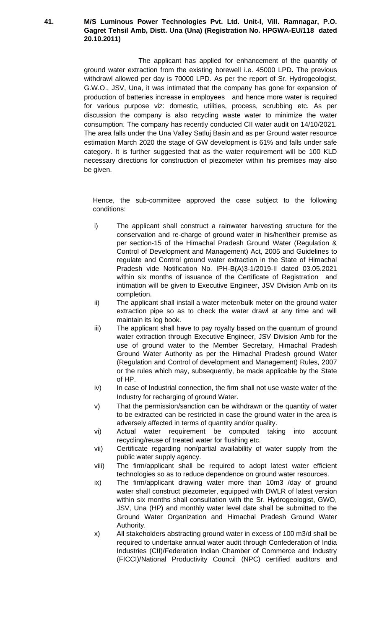#### **41. M/S Luminous Power Technologies Pvt. Ltd. Unit-I, Vill. Ramnagar, P.O. Gagret Tehsil Amb, Distt. Una (Una) (Registration No. HPGWA-EU/118 dated 20.10.2011)**

The applicant has applied for enhancement of the quantity of ground water extraction from the existing borewell i.e. 45000 LPD**.** The previous withdrawl allowed per day is 70000 LPD. As per the report of Sr. Hydrogeologist, G.W.O., JSV, Una, it was intimated that the company has gone for expansion of production of batteries increase in employees and hence more water is required for various purpose viz: domestic, utilities, process, scrubbing etc. As per discussion the company is also recycling waste water to minimize the water consumption. The company has recently conducted CII water audit on 14/10/2021. The area falls under the Una Valley Satluj Basin and as per Ground water resource estimation March 2020 the stage of GW development is 61% and falls under safe category. It is further suggested that as the water requirement will be 100 KLD necessary directions for construction of piezometer within his premises may also be given.

- i) The applicant shall construct a rainwater harvesting structure for the conservation and re-charge of ground water in his/her/their premise as per section-15 of the Himachal Pradesh Ground Water (Regulation & Control of Development and Management) Act, 2005 and Guidelines to regulate and Control ground water extraction in the State of Himachal Pradesh vide Notification No. IPH-B(A)3-1/2019-II dated 03.05.2021 within six months of issuance of the Certificate of Registration and intimation will be given to Executive Engineer, JSV Division Amb on its completion.
- ii) The applicant shall install a water meter/bulk meter on the ground water extraction pipe so as to check the water drawl at any time and will maintain its log book.
- iii) The applicant shall have to pay royalty based on the quantum of ground water extraction through Executive Engineer, JSV Division Amb for the use of ground water to the Member Secretary, Himachal Pradesh Ground Water Authority as per the Himachal Pradesh ground Water (Regulation and Control of development and Management) Rules, 2007 or the rules which may, subsequently, be made applicable by the State of HP.
- iv) In case of Industrial connection, the firm shall not use waste water of the Industry for recharging of ground Water.
- v) That the permission/sanction can be withdrawn or the quantity of water to be extracted can be restricted in case the ground water in the area is adversely affected in terms of quantity and/or quality.
- vi) Actual water requirement be computed taking into account recycling/reuse of treated water for flushing etc.
- vii) Certificate regarding non/partial availability of water supply from the public water supply agency.
- viii) The firm/applicant shall be required to adopt latest water efficient technologies so as to reduce dependence on ground water resources.
- ix) The firm/applicant drawing water more than 10m3 /day of ground water shall construct piezometer, equipped with DWLR of latest version within six months shall consultation with the Sr. Hydrogeologist, GWO, JSV, Una (HP) and monthly water level date shall be submitted to the Ground Water Organization and Himachal Pradesh Ground Water Authority.
- x) All stakeholders abstracting ground water in excess of 100 m3/d shall be required to undertake annual water audit through Confederation of India Industries (CII)/Federation Indian Chamber of Commerce and Industry (FICCI)/National Productivity Council (NPC) certified auditors and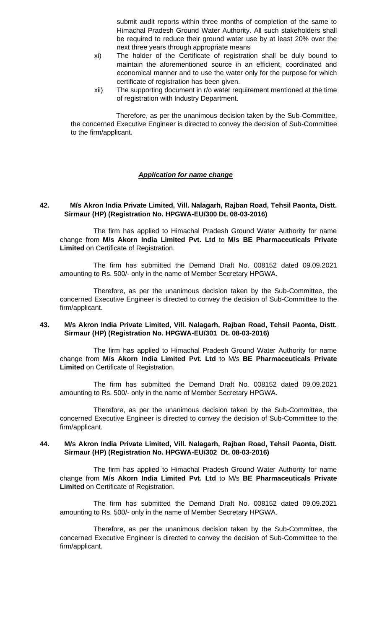submit audit reports within three months of completion of the same to Himachal Pradesh Ground Water Authority. All such stakeholders shall be required to reduce their ground water use by at least 20% over the next three years through appropriate means

- xi) The holder of the Certificate of registration shall be duly bound to maintain the aforementioned source in an efficient, coordinated and economical manner and to use the water only for the purpose for which certificate of registration has been given.
- xii) The supporting document in r/o water requirement mentioned at the time of registration with Industry Department.

Therefore, as per the unanimous decision taken by the Sub-Committee, the concerned Executive Engineer is directed to convey the decision of Sub-Committee to the firm/applicant.

#### *Application for name change*

#### **42. M/s Akron India Private Limited, Vill. Nalagarh, Rajban Road, Tehsil Paonta, Distt. Sirmaur (HP) (Registration No. HPGWA-EU/300 Dt. 08-03-2016)**

The firm has applied to Himachal Pradesh Ground Water Authority for name change from **M/s Akorn India Limited Pvt. Ltd** to **M/s BE Pharmaceuticals Private Limited** on Certificate of Registration.

The firm has submitted the Demand Draft No. 008152 dated 09.09.2021 amounting to Rs. 500/- only in the name of Member Secretary HPGWA.

Therefore, as per the unanimous decision taken by the Sub-Committee, the concerned Executive Engineer is directed to convey the decision of Sub-Committee to the firm/applicant.

#### **43. M/s Akron India Private Limited, Vill. Nalagarh, Rajban Road, Tehsil Paonta, Distt. Sirmaur (HP) (Registration No. HPGWA-EU/301 Dt. 08-03-2016)**

The firm has applied to Himachal Pradesh Ground Water Authority for name change from **M/s Akorn India Limited Pvt. Ltd** to M/s **BE Pharmaceuticals Private Limited** on Certificate of Registration.

The firm has submitted the Demand Draft No. 008152 dated 09.09.2021 amounting to Rs. 500/- only in the name of Member Secretary HPGWA.

Therefore, as per the unanimous decision taken by the Sub-Committee, the concerned Executive Engineer is directed to convey the decision of Sub-Committee to the firm/applicant.

#### **44. M/s Akron India Private Limited, Vill. Nalagarh, Rajban Road, Tehsil Paonta, Distt. Sirmaur (HP) (Registration No. HPGWA-EU/302 Dt. 08-03-2016)**

The firm has applied to Himachal Pradesh Ground Water Authority for name change from **M/s Akorn India Limited Pvt. Ltd** to M/s **BE Pharmaceuticals Private Limited** on Certificate of Registration.

The firm has submitted the Demand Draft No. 008152 dated 09.09.2021 amounting to Rs. 500/- only in the name of Member Secretary HPGWA.

Therefore, as per the unanimous decision taken by the Sub-Committee, the concerned Executive Engineer is directed to convey the decision of Sub-Committee to the firm/applicant.